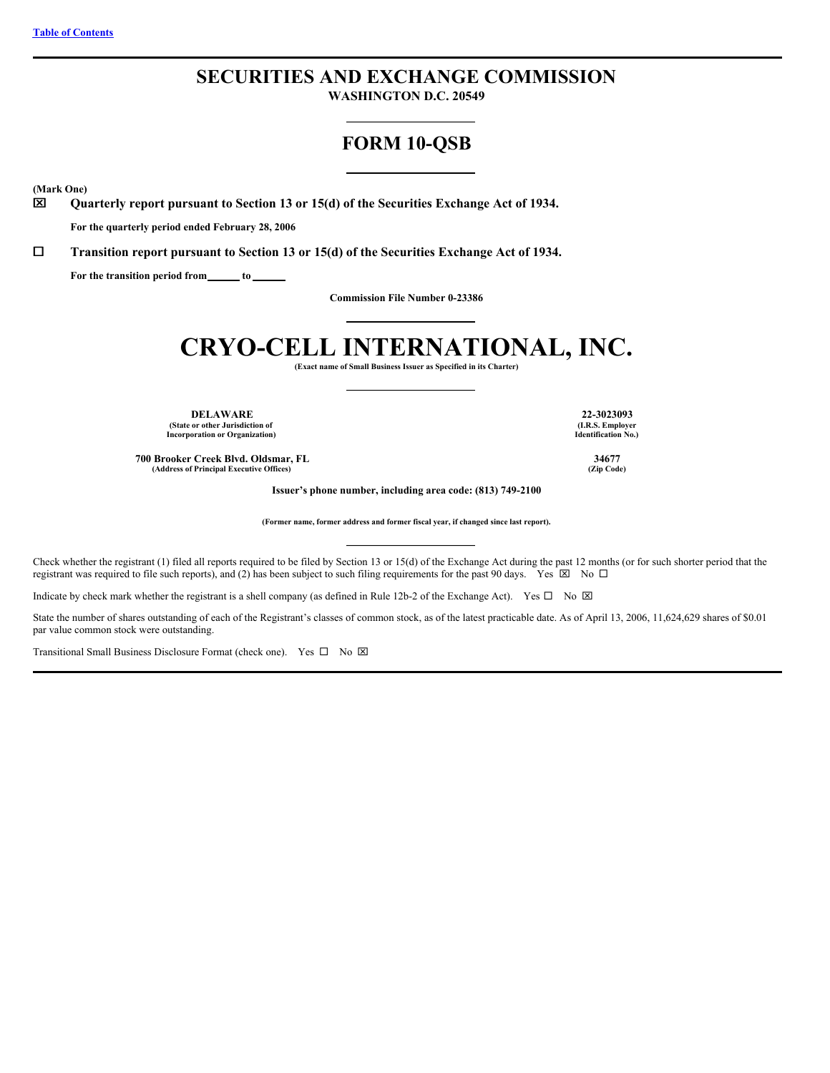# **SECURITIES AND EXCHANGE COMMISSION**

**WASHINGTON D.C. 20549**

# **FORM 10-QSB**

**(Mark One)**

x **Quarterly report pursuant to Section 13 or 15(d) of the Securities Exchange Act of 1934.**

**For the quarterly period ended February 28, 2006**

¨ **Transition report pursuant to Section 13 or 15(d) of the Securities Exchange Act of 1934.**

**For the transition period from to**

**Commission File Number 0-23386**

# **CRYO-CELL INTERNATIONAL, INC.**

**(Exact name of Small Business Issuer as Specified in its Charter)**

**DELAWARE 22-3023093 (State or other Jurisdiction of Incorporation or Organization)**

**700 Brooker Creek Blvd. Oldsmar, FL 34677 (Address of Principal Executive Offices) (Zip Code)**

**(I.R.S. Employer Identification No.)**

**Issuer's phone number, including area code: (813) 749-2100**

**(Former name, former address and former fiscal year, if changed since last report).**

Check whether the registrant (1) filed all reports required to be filed by Section 13 or 15(d) of the Exchange Act during the past 12 months (or for such shorter period that the registrant was required to file such reports), and (2) has been subject to such filing requirements for the past 90 days. Yes  $\boxtimes$  No  $\Box$ 

Indicate by check mark whether the registrant is a shell company (as defined in Rule 12b-2 of the Exchange Act). Yes  $\Box$  No  $\boxtimes$ 

State the number of shares outstanding of each of the Registrant's classes of common stock, as of the latest practicable date. As of April 13, 2006, 11,624,629 shares of \$0.01 par value common stock were outstanding.

Transitional Small Business Disclosure Format (check one). Yes  $\square$  No  $\square$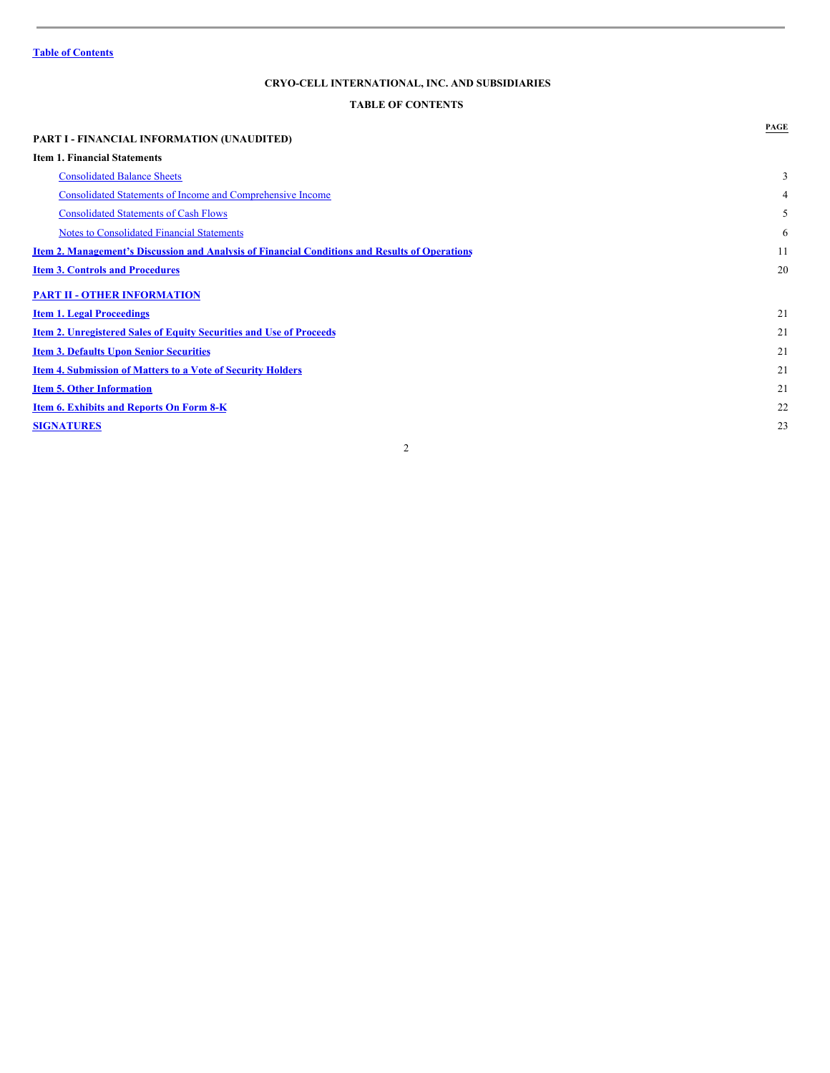# <span id="page-1-0"></span>**TABLE OF CONTENTS**

|                                                                                                       | PAGE |
|-------------------------------------------------------------------------------------------------------|------|
| <b>PART I - FINANCIAL INFORMATION (UNAUDITED)</b>                                                     |      |
| <b>Item 1. Financial Statements</b>                                                                   |      |
| <b>Consolidated Balance Sheets</b>                                                                    | 3    |
| Consolidated Statements of Income and Comprehensive Income                                            | 4    |
| <b>Consolidated Statements of Cash Flows</b>                                                          | 5    |
| <b>Notes to Consolidated Financial Statements</b>                                                     | 6    |
| <u>Item 2. Management's Discussion and Analysis of Financial Conditions and Results of Operations</u> | 11   |
| <b>Item 3. Controls and Procedures</b>                                                                | 20   |
| <b>PART II - OTHER INFORMATION</b>                                                                    |      |
| <b>Item 1. Legal Proceedings</b>                                                                      | 21   |
| <b>Item 2. Unregistered Sales of Equity Securities and Use of Proceeds</b>                            | 21   |
| <b>Item 3. Defaults Upon Senior Securities</b>                                                        | 21   |
| <b>Item 4. Submission of Matters to a Vote of Security Holders</b>                                    | 21   |
| <b>Item 5. Other Information</b>                                                                      | 21   |
| <b>Item 6. Exhibits and Reports On Form 8-K</b>                                                       | 22   |
| <b>SIGNATURES</b>                                                                                     | 23   |
| 2                                                                                                     |      |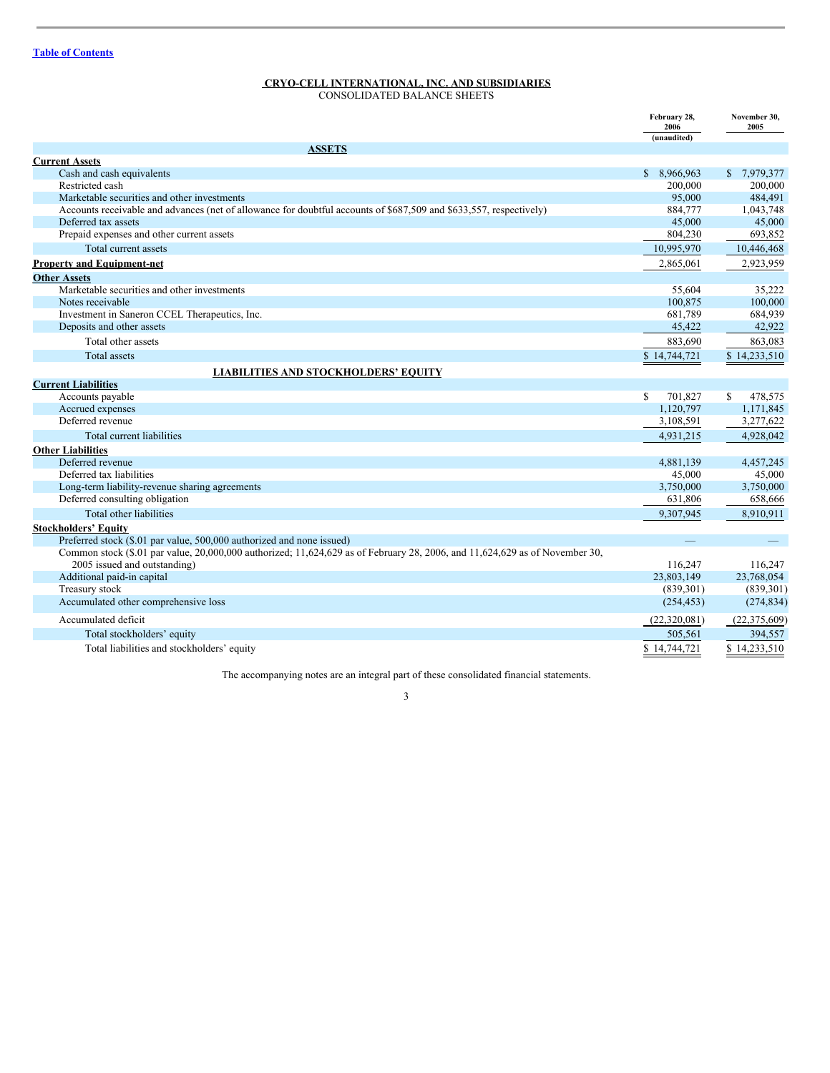<span id="page-2-0"></span>CONSOLIDATED BALANCE SHEETS

|                                                                                                                             | February 28,<br>2006<br>(unaudited) | November 30,<br>2005      |
|-----------------------------------------------------------------------------------------------------------------------------|-------------------------------------|---------------------------|
| <b>ASSETS</b>                                                                                                               |                                     |                           |
| <b>Current Assets</b>                                                                                                       |                                     |                           |
| Cash and cash equivalents                                                                                                   | \$ 8,966,963                        | $\mathbb{S}$<br>7,979,377 |
| Restricted cash                                                                                                             | 200,000                             | 200,000                   |
| Marketable securities and other investments                                                                                 | 95,000                              | 484,491                   |
| Accounts receivable and advances (net of allowance for doubtful accounts of \$687,509 and \$633,557, respectively)          | 884,777                             | 1,043,748                 |
| Deferred tax assets                                                                                                         | 45,000                              | 45,000                    |
| Prepaid expenses and other current assets                                                                                   | 804,230                             | 693,852                   |
| Total current assets                                                                                                        | 10,995,970                          | 10,446,468                |
| <b>Property and Equipment-net</b>                                                                                           | 2,865,061                           | 2,923,959                 |
| <b>Other Assets</b>                                                                                                         |                                     |                           |
| Marketable securities and other investments                                                                                 | 55,604                              | 35,222                    |
| Notes receivable                                                                                                            | 100,875                             | 100,000                   |
| Investment in Saneron CCEL Therapeutics, Inc.                                                                               | 681,789                             | 684,939                   |
| Deposits and other assets                                                                                                   | 45,422                              | 42,922                    |
| Total other assets                                                                                                          | 883,690                             | 863,083                   |
| <b>Total assets</b>                                                                                                         | \$14,744,721                        | \$14,233,510              |
| <b>LIABILITIES AND STOCKHOLDERS' EQUITY</b>                                                                                 |                                     |                           |
| <b>Current Liabilities</b>                                                                                                  |                                     |                           |
| Accounts payable                                                                                                            | \$.<br>701,827                      | \$<br>478,575             |
| Accrued expenses                                                                                                            | 1,120,797                           | 1,171,845                 |
| Deferred revenue                                                                                                            | 3,108,591                           | 3,277,622                 |
| Total current liabilities                                                                                                   | 4,931,215                           | 4,928,042                 |
| <b>Other Liabilities</b>                                                                                                    |                                     |                           |
| Deferred revenue                                                                                                            | 4,881,139                           | 4,457,245                 |
| Deferred tax liabilities                                                                                                    | 45,000                              | 45,000                    |
| Long-term liability-revenue sharing agreements                                                                              | 3,750,000                           | 3,750,000                 |
| Deferred consulting obligation                                                                                              | 631,806                             | 658,666                   |
| Total other liabilities                                                                                                     | 9,307,945                           | 8,910,911                 |
| <b>Stockholders' Equity</b>                                                                                                 |                                     |                           |
| Preferred stock (\$.01 par value, 500,000 authorized and none issued)                                                       |                                     |                           |
| Common stock (\$.01 par value, 20,000,000 authorized; 11,624,629 as of February 28, 2006, and 11,624,629 as of November 30, |                                     |                           |
| 2005 issued and outstanding)                                                                                                | 116,247                             | 116.247                   |
| Additional paid-in capital                                                                                                  | 23,803,149                          | 23,768,054                |
| Treasury stock                                                                                                              | (839, 301)                          | (839, 301)                |
| Accumulated other comprehensive loss                                                                                        | (254, 453)                          | (274, 834)                |
| Accumulated deficit                                                                                                         | (22,320,081)                        | (22, 375, 609)            |
| Total stockholders' equity                                                                                                  | 505.561                             | 394.557                   |
| Total liabilities and stockholders' equity                                                                                  | \$14,744,721                        | \$14,233,510              |

The accompanying notes are an integral part of these consolidated financial statements.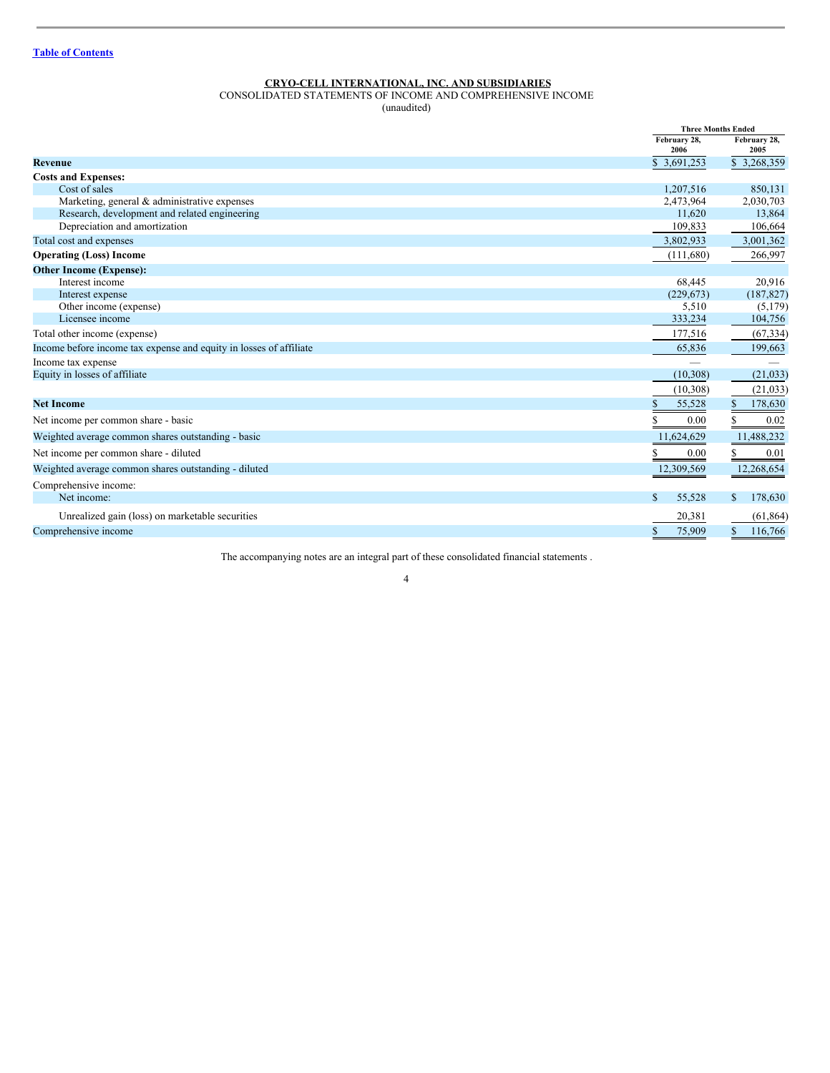## <span id="page-3-0"></span>CONSOLIDATED STATEMENTS OF INCOME AND COMPREHENSIVE INCOME

(unaudited)

|                                                                    | <b>Three Months Ended</b> |                      |  |
|--------------------------------------------------------------------|---------------------------|----------------------|--|
|                                                                    | February 28.<br>2006      | February 28.<br>2005 |  |
| <b>Revenue</b>                                                     | \$ 3,691,253              | \$3,268,359          |  |
| <b>Costs and Expenses:</b>                                         |                           |                      |  |
| Cost of sales                                                      | 1,207,516                 | 850,131              |  |
| Marketing, general & administrative expenses                       | 2,473,964                 | 2,030,703            |  |
| Research, development and related engineering                      | 11.620                    | 13,864               |  |
| Depreciation and amortization                                      | 109,833                   | 106,664              |  |
| Total cost and expenses                                            | 3,802,933                 | 3,001,362            |  |
| <b>Operating (Loss) Income</b>                                     | (111,680)                 | 266,997              |  |
| <b>Other Income (Expense):</b>                                     |                           |                      |  |
| Interest income                                                    | 68,445                    | 20,916               |  |
| Interest expense                                                   | (229, 673)                | (187, 827)           |  |
| Other income (expense)                                             | 5,510                     | (5,179)              |  |
| Licensee income                                                    | 333,234                   | 104,756              |  |
| Total other income (expense)                                       | 177,516                   | (67, 334)            |  |
| Income before income tax expense and equity in losses of affiliate | 65,836                    | 199,663              |  |
| Income tax expense                                                 |                           |                      |  |
| Equity in losses of affiliate                                      | (10, 308)                 | (21, 033)            |  |
|                                                                    | (10, 308)                 | (21, 033)            |  |
| <b>Net Income</b>                                                  | S<br>55,528               | \$<br>178,630        |  |
| Net income per common share - basic                                | 0.00                      | 0.02                 |  |
| Weighted average common shares outstanding - basic                 | 11,624,629                | 11,488,232           |  |
| Net income per common share - diluted                              | 0.00                      | 0.01                 |  |
| Weighted average common shares outstanding - diluted               | 12,309,569                | 12,268,654           |  |
| Comprehensive income:                                              |                           |                      |  |
| Net income:                                                        | \$.<br>55,528             | 178,630<br>S         |  |
| Unrealized gain (loss) on marketable securities                    | 20,381                    | (61, 864)            |  |
| Comprehensive income                                               | S<br>75,909               | S<br>116,766         |  |

The accompanying notes are an integral part of these consolidated financial statements .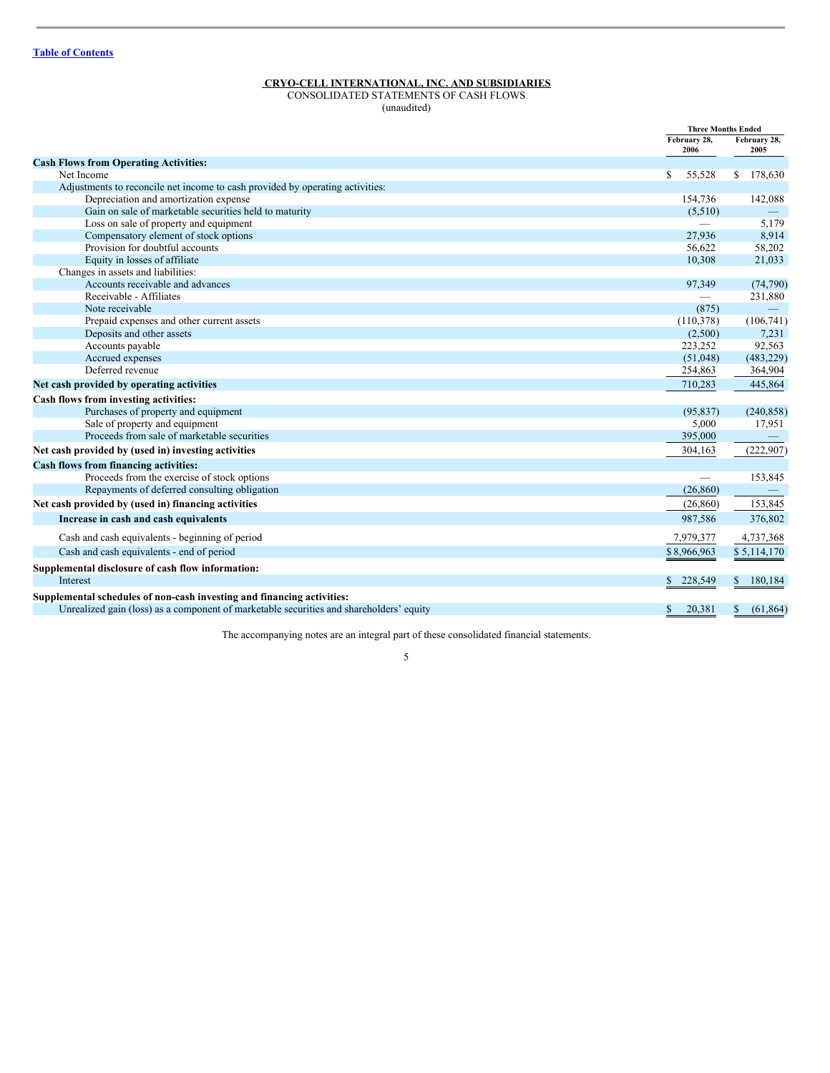## <span id="page-4-0"></span>CONSOLIDATED STATEMENTS OF CASH FLOWS

(unaudited)

|                                                                                         |                          | <b>Three Months Ended</b> |  |  |
|-----------------------------------------------------------------------------------------|--------------------------|---------------------------|--|--|
|                                                                                         |                          | February 28,<br>2005      |  |  |
| <b>Cash Flows from Operating Activities:</b>                                            |                          |                           |  |  |
| Net Income                                                                              | S<br>55,528              | 178,630<br>S              |  |  |
| Adjustments to reconcile net income to cash provided by operating activities:           |                          |                           |  |  |
| Depreciation and amortization expense                                                   | 154,736                  | 142,088                   |  |  |
| Gain on sale of marketable securities held to maturity                                  | (5,510)                  |                           |  |  |
| Loss on sale of property and equipment                                                  | $\overline{\phantom{0}}$ | 5,179                     |  |  |
| Compensatory element of stock options                                                   | 27.936                   | 8,914                     |  |  |
| Provision for doubtful accounts                                                         | 56.622                   | 58,202                    |  |  |
| Equity in losses of affiliate                                                           | 10,308                   | 21,033                    |  |  |
| Changes in assets and liabilities:                                                      |                          |                           |  |  |
| Accounts receivable and advances                                                        | 97,349                   | (74, 790)                 |  |  |
| Receivable - Affiliates                                                                 |                          | 231,880                   |  |  |
| Note receivable                                                                         | (875)                    | $\overline{\phantom{a}}$  |  |  |
| Prepaid expenses and other current assets                                               | (110,378)                | (106,741)                 |  |  |
| Deposits and other assets                                                               | (2,500)                  | 7,231                     |  |  |
| Accounts payable                                                                        | 223,252                  | 92,563                    |  |  |
| Accrued expenses                                                                        | (51,048)                 | (483, 229)                |  |  |
| Deferred revenue                                                                        | 254,863                  | 364,904                   |  |  |
| Net cash provided by operating activities                                               | 710.283                  | 445,864                   |  |  |
| Cash flows from investing activities:                                                   |                          |                           |  |  |
| Purchases of property and equipment                                                     | (95, 837)                | (240, 858)                |  |  |
| Sale of property and equipment                                                          | 5,000                    | 17,951                    |  |  |
| Proceeds from sale of marketable securities                                             | 395,000                  |                           |  |  |
| Net cash provided by (used in) investing activities                                     | 304,163                  | (222, 907)                |  |  |
| Cash flows from financing activities:                                                   |                          |                           |  |  |
| Proceeds from the exercise of stock options                                             | $\overline{\phantom{0}}$ | 153,845                   |  |  |
| Repayments of deferred consulting obligation                                            | (26, 860)                | $\qquad \qquad -$         |  |  |
| Net cash provided by (used in) financing activities                                     | (26, 860)                | 153,845                   |  |  |
| Increase in cash and cash equivalents                                                   | 987,586                  | 376,802                   |  |  |
| Cash and cash equivalents - beginning of period                                         | 7,979,377                | 4,737,368                 |  |  |
| Cash and cash equivalents - end of period                                               | \$8,966,963              | \$5,114,170               |  |  |
| Supplemental disclosure of cash flow information:                                       |                          |                           |  |  |
| Interest                                                                                | 228,549<br>S.            | S<br>180,184              |  |  |
| Supplemental schedules of non-cash investing and financing activities:                  |                          |                           |  |  |
| Unrealized gain (loss) as a component of marketable securities and shareholders' equity | 20,381<br>S.             | S<br>(61, 864)            |  |  |

The accompanying notes are an integral part of these consolidated financial statements.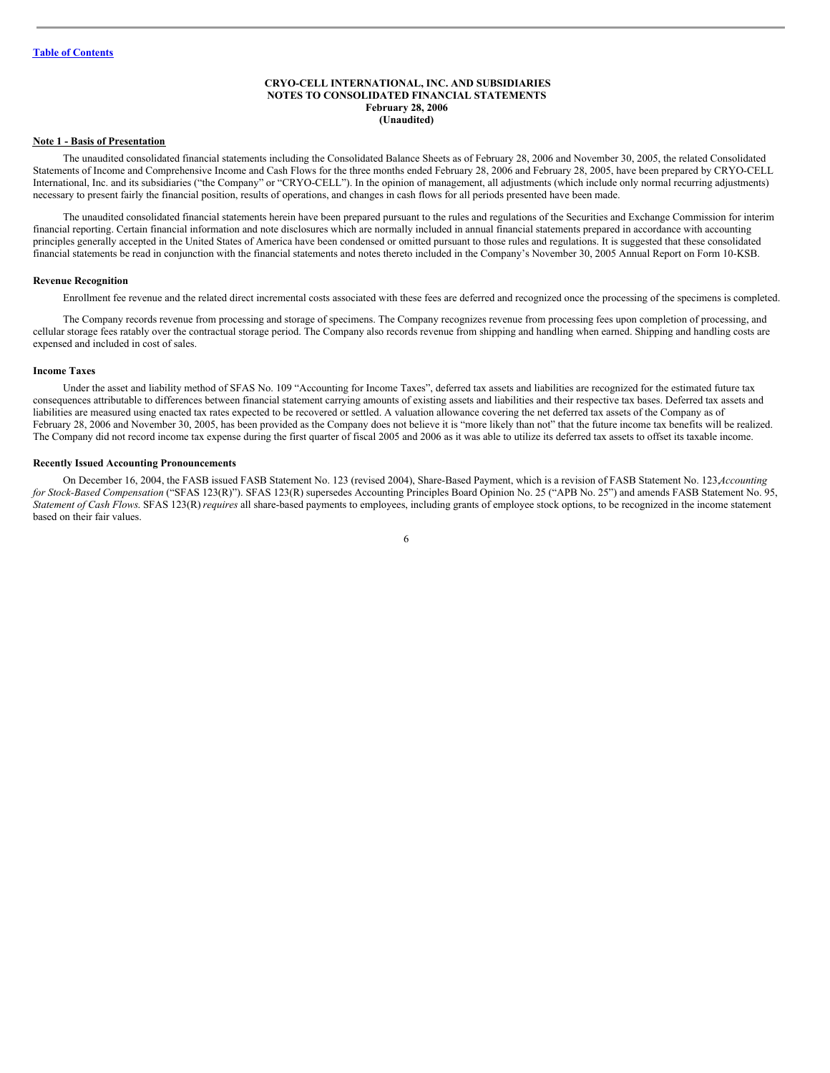## <span id="page-5-0"></span>**CRYO-CELL INTERNATIONAL, INC. AND SUBSIDIARIES NOTES TO CONSOLIDATED FINANCIAL STATEMENTS February 28, 2006 (Unaudited)**

#### **Note 1 - Basis of Presentation**

The unaudited consolidated financial statements including the Consolidated Balance Sheets as of February 28, 2006 and November 30, 2005, the related Consolidated Statements of Income and Comprehensive Income and Cash Flows for the three months ended February 28, 2006 and February 28, 2005, have been prepared by CRYO-CELL International, Inc. and its subsidiaries ("the Company" or "CRYO-CELL"). In the opinion of management, all adjustments (which include only normal recurring adjustments) necessary to present fairly the financial position, results of operations, and changes in cash flows for all periods presented have been made.

The unaudited consolidated financial statements herein have been prepared pursuant to the rules and regulations of the Securities and Exchange Commission for interim financial reporting. Certain financial information and note disclosures which are normally included in annual financial statements prepared in accordance with accounting principles generally accepted in the United States of America have been condensed or omitted pursuant to those rules and regulations. It is suggested that these consolidated financial statements be read in conjunction with the financial statements and notes thereto included in the Company's November 30, 2005 Annual Report on Form 10-KSB.

#### **Revenue Recognition**

Enrollment fee revenue and the related direct incremental costs associated with these fees are deferred and recognized once the processing of the specimens is completed.

The Company records revenue from processing and storage of specimens. The Company recognizes revenue from processing fees upon completion of processing, and cellular storage fees ratably over the contractual storage period. The Company also records revenue from shipping and handling when earned. Shipping and handling costs are expensed and included in cost of sales.

#### **Income Taxes**

Under the asset and liability method of SFAS No. 109 "Accounting for Income Taxes", deferred tax assets and liabilities are recognized for the estimated future tax consequences attributable to differences between financial statement carrying amounts of existing assets and liabilities and their respective tax bases. Deferred tax assets and liabilities are measured using enacted tax rates expected to be recovered or settled. A valuation allowance covering the net deferred tax assets of the Company as of February 28, 2006 and November 30, 2005, has been provided as the Company does not believe it is "more likely than not" that the future income tax benefits will be realized. The Company did not record income tax expense during the first quarter of fiscal 2005 and 2006 as it was able to utilize its deferred tax assets to offset its taxable income.

#### **Recently Issued Accounting Pronouncements**

On December 16, 2004, the FASB issued FASB Statement No. 123 (revised 2004), Share-Based Payment, which is a revision of FASB Statement No. 123,*Accounting for Stock-Based Compensation* ("SFAS 123(R)"). SFAS 123(R) supersedes Accounting Principles Board Opinion No. 25 ("APB No. 25") and amends FASB Statement No. 95, *Statement of Cash Flows*. SFAS 123(R)*requires* all share-based payments to employees, including grants of employee stock options, to be recognized in the income statement based on their fair values.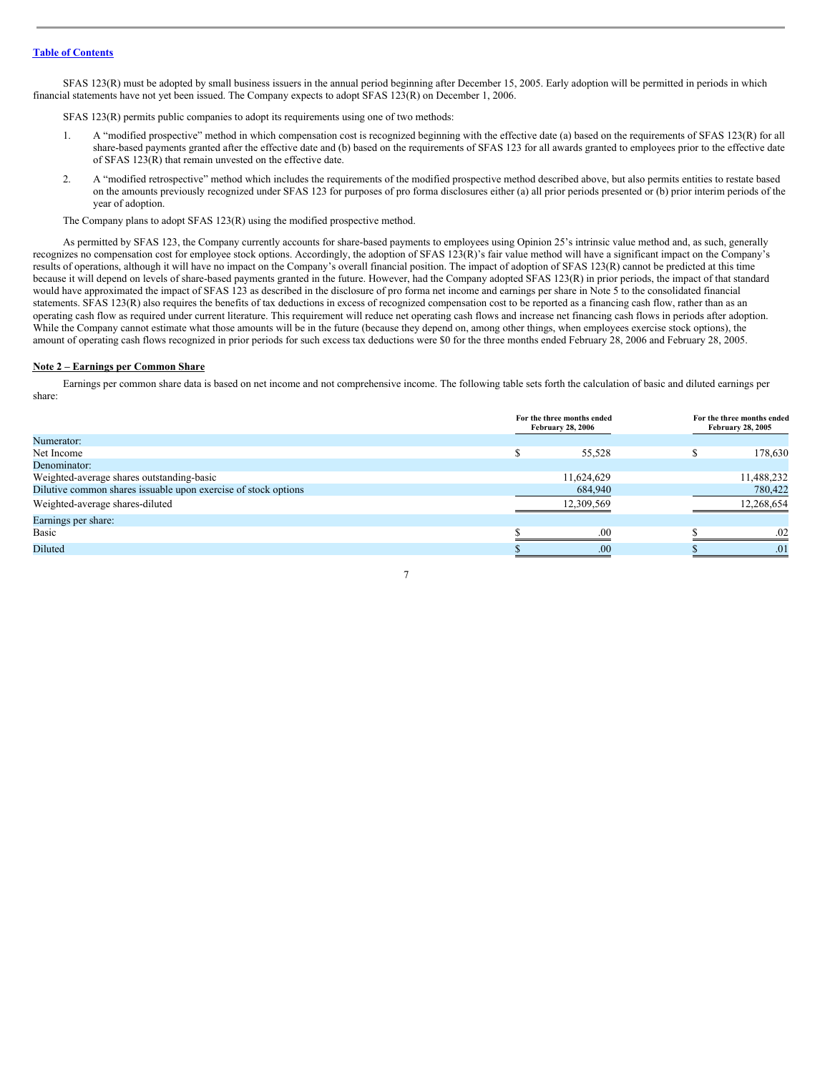SFAS 123(R) must be adopted by small business issuers in the annual period beginning after December 15, 2005. Early adoption will be permitted in periods in which financial statements have not yet been issued. The Company expects to adopt SFAS 123(R) on December 1, 2006.

SFAS 123(R) permits public companies to adopt its requirements using one of two methods:

- 1. A "modified prospective" method in which compensation cost is recognized beginning with the effective date (a) based on the requirements of SFAS 123(R) for all share-based payments granted after the effective date and (b) based on the requirements of SFAS 123 for all awards granted to employees prior to the effective date of SFAS 123(R) that remain unvested on the effective date.
- 2. A "modified retrospective" method which includes the requirements of the modified prospective method described above, but also permits entities to restate based on the amounts previously recognized under SFAS 123 for purposes of pro forma disclosures either (a) all prior periods presented or (b) prior interim periods of the year of adoption.

The Company plans to adopt SFAS 123(R) using the modified prospective method.

As permitted by SFAS 123, the Company currently accounts for share-based payments to employees using Opinion 25's intrinsic value method and, as such, generally recognizes no compensation cost for employee stock options. Accordingly, the adoption of SFAS 123(R)'s fair value method will have a significant impact on the Company's results of operations, although it will have no impact on the Company's overall financial position. The impact of adoption of SFAS 123(R) cannot be predicted at this time because it will depend on levels of share-based payments granted in the future. However, had the Company adopted SFAS 123(R) in prior periods, the impact of that standard would have approximated the impact of SFAS 123 as described in the disclosure of pro forma net income and earnings per share in Note 5 to the consolidated financial statements. SFAS 123(R) also requires the benefits of tax deductions in excess of recognized compensation cost to be reported as a financing cash flow, rather than as an operating cash flow as required under current literature. This requirement will reduce net operating cash flows and increase net financing cash flows in periods after adoption. While the Company cannot estimate what those amounts will be in the future (because they depend on, among other things, when employees exercise stock options), the amount of operating cash flows recognized in prior periods for such excess tax deductions were \$0 for the three months ended February 28, 2006 and February 28, 2005.

#### **Note 2 – Earnings per Common Share**

Earnings per common share data is based on net income and not comprehensive income. The following table sets forth the calculation of basic and diluted earnings per share:

|                                                                |  | For the three months ended<br><b>February 28, 2006</b> |  | For the three months ended<br><b>February 28, 2005</b> |  |
|----------------------------------------------------------------|--|--------------------------------------------------------|--|--------------------------------------------------------|--|
| Numerator:                                                     |  |                                                        |  |                                                        |  |
| Net Income                                                     |  | 55,528                                                 |  | 178,630                                                |  |
| Denominator:                                                   |  |                                                        |  |                                                        |  |
| Weighted-average shares outstanding-basic                      |  | 11,624,629                                             |  | 11,488,232                                             |  |
| Dilutive common shares issuable upon exercise of stock options |  | 684,940                                                |  | 780,422                                                |  |
| Weighted-average shares-diluted                                |  | 12,309,569                                             |  | 12,268,654                                             |  |
| Earnings per share:                                            |  |                                                        |  |                                                        |  |
| Basic                                                          |  | .00                                                    |  | .02                                                    |  |
| Diluted                                                        |  | .00                                                    |  | .01                                                    |  |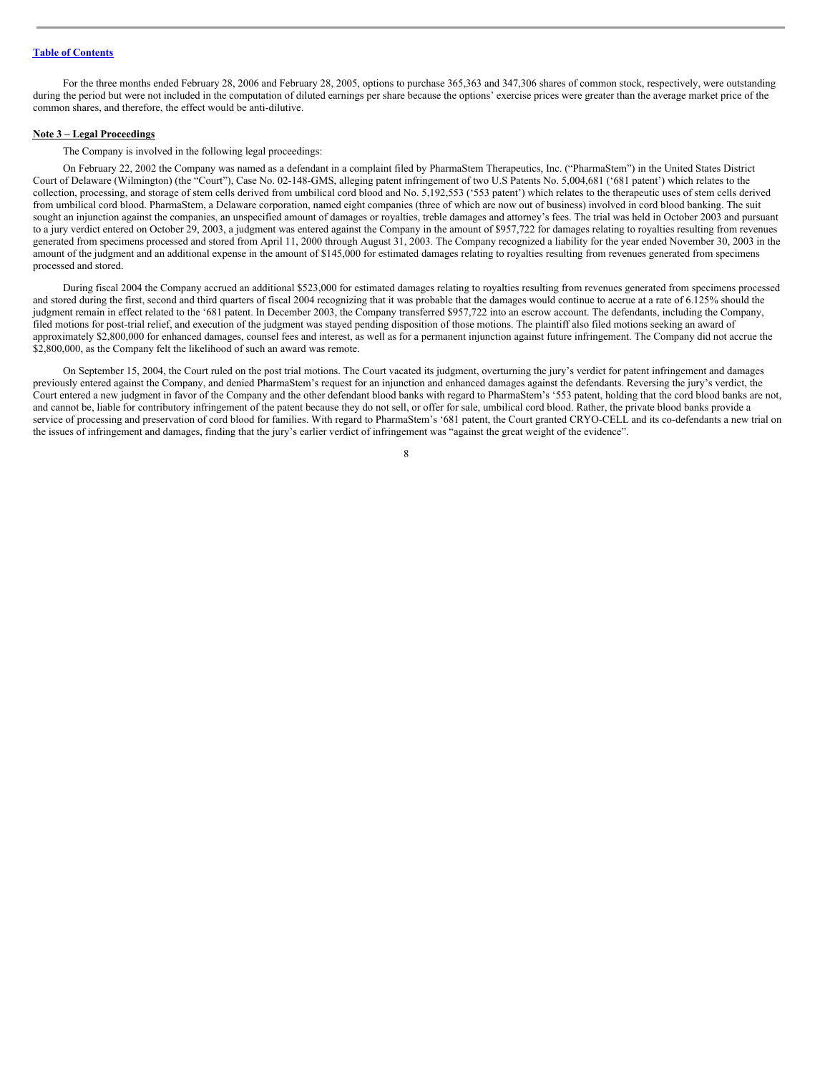For the three months ended February 28, 2006 and February 28, 2005, options to purchase 365,363 and 347,306 shares of common stock, respectively, were outstanding during the period but were not included in the computation of diluted earnings per share because the options' exercise prices were greater than the average market price of the common shares, and therefore, the effect would be anti-dilutive.

#### **Note 3 – Legal Proceedings**

The Company is involved in the following legal proceedings:

On February 22, 2002 the Company was named as a defendant in a complaint filed by PharmaStem Therapeutics, Inc. ("PharmaStem") in the United States District Court of Delaware (Wilmington) (the "Court"), Case No. 02-148-GMS, alleging patent infringement of two U.S Patents No. 5,004,681 ('681 patent') which relates to the collection, processing, and storage of stem cells derived from umbilical cord blood and No. 5,192,553 ('553 patent') which relates to the therapeutic uses of stem cells derived from umbilical cord blood. PharmaStem, a Delaware corporation, named eight companies (three of which are now out of business) involved in cord blood banking. The suit sought an injunction against the companies, an unspecified amount of damages or royalties, treble damages and attorney's fees. The trial was held in October 2003 and pursuant to a jury verdict entered on October 29, 2003, a judgment was entered against the Company in the amount of \$957,722 for damages relating to royalties resulting from revenues generated from specimens processed and stored from April 11, 2000 through August 31, 2003. The Company recognized a liability for the year ended November 30, 2003 in the amount of the judgment and an additional expense in the amount of \$145,000 for estimated damages relating to royalties resulting from revenues generated from specimens processed and stored.

During fiscal 2004 the Company accrued an additional \$523,000 for estimated damages relating to royalties resulting from revenues generated from specimens processed and stored during the first, second and third quarters of fiscal 2004 recognizing that it was probable that the damages would continue to accrue at a rate of 6.125% should the judgment remain in effect related to the '681 patent. In December 2003, the Company transferred \$957,722 into an escrow account. The defendants, including the Company, filed motions for post-trial relief, and execution of the judgment was stayed pending disposition of those motions. The plaintiff also filed motions seeking an award of approximately \$2,800,000 for enhanced damages, counsel fees and interest, as well as for a permanent injunction against future infringement. The Company did not accrue the \$2,800,000, as the Company felt the likelihood of such an award was remote.

On September 15, 2004, the Court ruled on the post trial motions. The Court vacated its judgment, overturning the jury's verdict for patent infringement and damages previously entered against the Company, and denied PharmaStem's request for an injunction and enhanced damages against the defendants. Reversing the jury's verdict, the Court entered a new judgment in favor of the Company and the other defendant blood banks with regard to PharmaStem's '553 patent, holding that the cord blood banks are not, and cannot be, liable for contributory infringement of the patent because they do not sell, or offer for sale, umbilical cord blood. Rather, the private blood banks provide a service of processing and preservation of cord blood for families. With regard to PharmaStem's '681 patent, the Court granted CRYO-CELL and its co-defendants a new trial on the issues of infringement and damages, finding that the jury's earlier verdict of infringement was "against the great weight of the evidence".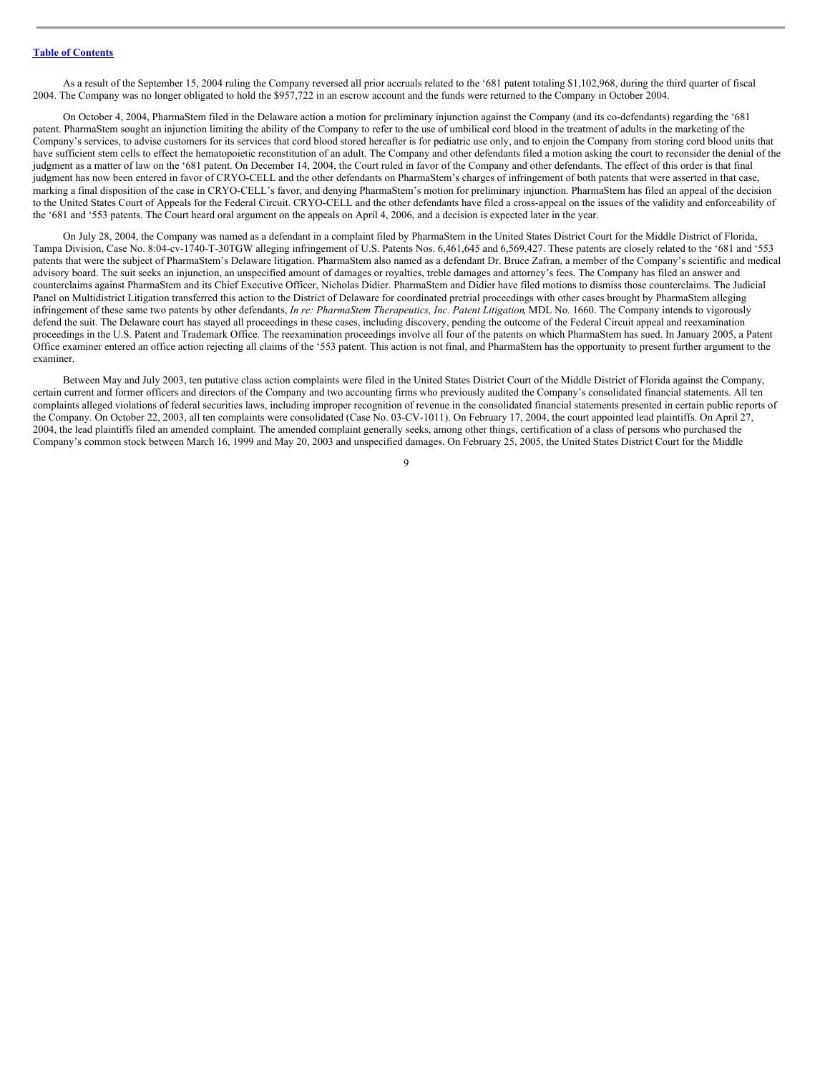As a result of the September 15, 2004 ruling the Company reversed all prior accruals related to the '681 patent totaling \$1,102,968, during the third quarter of fiscal 2004. The Company was no longer obligated to hold the \$957,722 in an escrow account and the funds were returned to the Company in October 2004.

On October 4, 2004, PharmaStem filed in the Delaware action a motion for preliminary injunction against the Company (and its co-defendants) regarding the '681 patent. PharmaStem sought an injunction limiting the ability of the Company to refer to the use of umbilical cord blood in the treatment of adults in the marketing of the Company's services, to advise customers for its services that cord blood stored hereafter is for pediatric use only, and to enjoin the Company from storing cord blood units that have sufficient stem cells to effect the hematopoietic reconstitution of an adult. The Company and other defendants filed a motion asking the court to reconsider the denial of the judgment as a matter of law on the '681 patent. On December 14, 2004, the Court ruled in favor of the Company and other defendants. The effect of this order is that final judgment has now been entered in favor of CRYO-CELL and the other defendants on PharmaStem's charges of infringement of both patents that were asserted in that case, marking a final disposition of the case in CRYO-CELL's favor, and denying PharmaStem's motion for preliminary injunction. PharmaStem has filed an appeal of the decision to the United States Court of Appeals for the Federal Circuit. CRYO-CELL and the other defendants have filed a cross-appeal on the issues of the validity and enforceability of the '681 and '553 patents. The Court heard oral argument on the appeals on April 4, 2006, and a decision is expected later in the year.

On July 28, 2004, the Company was named as a defendant in a complaint filed by PharmaStem in the United States District Court for the Middle District of Florida, Tampa Division, Case No. 8:04-cv-1740-T-30TGW alleging infringement of U.S. Patents Nos. 6,461,645 and 6,569,427. These patents are closely related to the '681 and '553 patents that were the subject of PharmaStem's Delaware litigation. PharmaStem also named as a defendant Dr. Bruce Zafran, a member of the Company's scientific and medical advisory board. The suit seeks an injunction, an unspecified amount of damages or royalties, treble damages and attorney's fees. The Company has filed an answer and counterclaims against PharmaStem and its Chief Executive Officer, Nicholas Didier. PharmaStem and Didier have filed motions to dismiss those counterclaims. The Judicial Panel on Multidistrict Litigation transferred this action to the District of Delaware for coordinated pretrial proceedings with other cases brought by PharmaStem alleging infringement of these same two patents by other defendants, *In re: PharmaStem Therapeutics, Inc. Patent Litigation*, MDL No. 1660. The Company intends to vigorously defend the suit. The Delaware court has stayed all proceedings in these cases, including discovery, pending the outcome of the Federal Circuit appeal and reexamination proceedings in the U.S. Patent and Trademark Office. The reexamination proceedings involve all four of the patents on which PharmaStem has sued. In January 2005, a Patent Office examiner entered an office action rejecting all claims of the '553 patent. This action is not final, and PharmaStem has the opportunity to present further argument to the examiner.

Between May and July 2003, ten putative class action complaints were filed in the United States District Court of the Middle District of Florida against the Company, certain current and former officers and directors of the Company and two accounting firms who previously audited the Company's consolidated financial statements. All ten complaints alleged violations of federal securities laws, including improper recognition of revenue in the consolidated financial statements presented in certain public reports of the Company. On October 22, 2003, all ten complaints were consolidated (Case No. 03-CV-1011). On February 17, 2004, the court appointed lead plaintiffs. On April 27, 2004, the lead plaintiffs filed an amended complaint. The amended complaint generally seeks, among other things, certification of a class of persons who purchased the Company's common stock between March 16, 1999 and May 20, 2003 and unspecified damages. On February 25, 2005, the United States District Court for the Middle

 $\overline{Q}$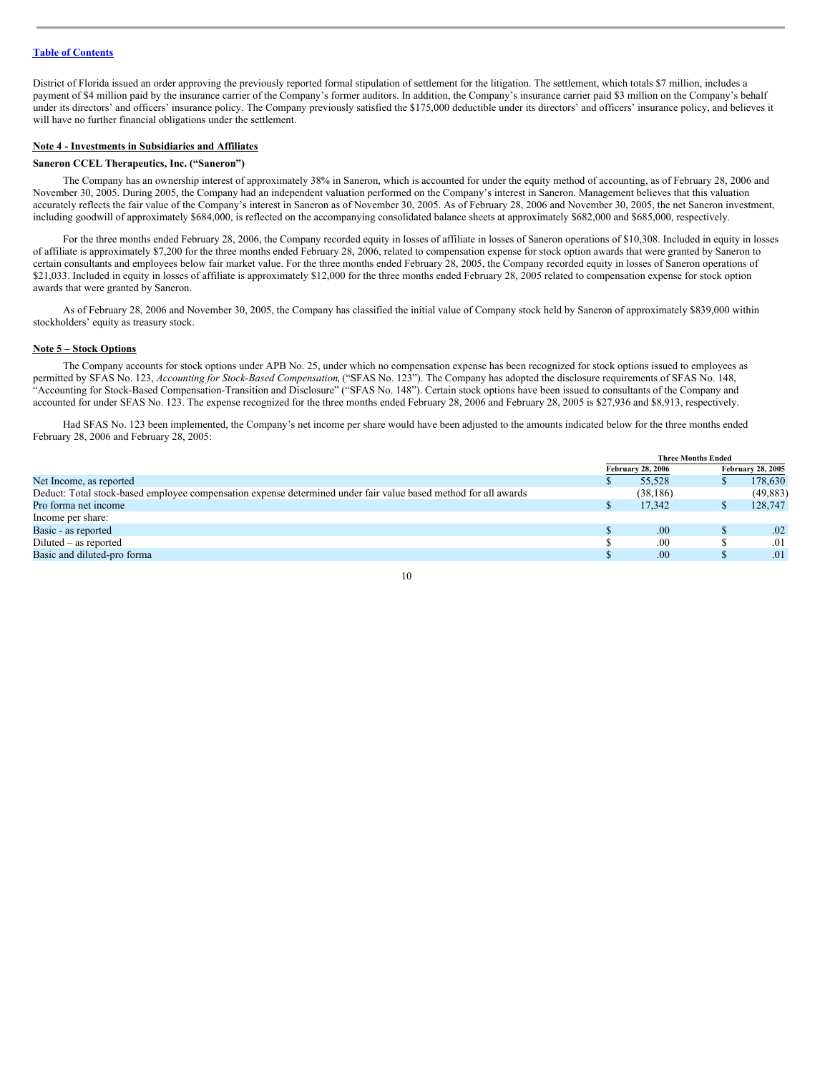District of Florida issued an order approving the previously reported formal stipulation of settlement for the litigation. The settlement, which totals \$7 million, includes a payment of \$4 million paid by the insurance carrier of the Company's former auditors. In addition, the Company's insurance carrier paid \$3 million on the Company's behalf under its directors' and officers' insurance policy. The Company previously satisfied the \$175,000 deductible under its directors' and officers' insurance policy, and believes it will have no further financial obligations under the settlement.

## **Note 4 - Investments in Subsidiaries and Affiliates**

#### **Saneron CCEL Therapeutics, Inc. ("Saneron")**

The Company has an ownership interest of approximately 38% in Saneron, which is accounted for under the equity method of accounting, as of February 28, 2006 and November 30, 2005. During 2005, the Company had an independent valuation performed on the Company's interest in Saneron. Management believes that this valuation accurately reflects the fair value of the Company's interest in Saneron as of November 30, 2005. As of February 28, 2006 and November 30, 2005, the net Saneron investment, including goodwill of approximately \$684,000, is reflected on the accompanying consolidated balance sheets at approximately \$682,000 and \$685,000, respectively.

For the three months ended February 28, 2006, the Company recorded equity in losses of affiliate in losses of Saneron operations of \$10,308. Included in equity in losses of affiliate is approximately \$7,200 for the three months ended February 28, 2006, related to compensation expense for stock option awards that were granted by Saneron to certain consultants and employees below fair market value. For the three months ended February 28, 2005, the Company recorded equity in losses of Saneron operations of \$21,033. Included in equity in losses of affiliate is approximately \$12,000 for the three months ended February 28, 2005 related to compensation expense for stock option awards that were granted by Saneron.

As of February 28, 2006 and November 30, 2005, the Company has classified the initial value of Company stock held by Saneron of approximately \$839,000 within stockholders' equity as treasury stock.

#### **Note 5 – Stock Options**

The Company accounts for stock options under APB No. 25, under which no compensation expense has been recognized for stock options issued to employees as permitted by SFAS No. 123, *Accounting for Stock-Based Compensation*, ("SFAS No. 123"). The Company has adopted the disclosure requirements of SFAS No. 148, "Accounting for Stock-Based Compensation-Transition and Disclosure" ("SFAS No. 148"). Certain stock options have been issued to consultants of the Company and accounted for under SFAS No. 123. The expense recognized for the three months ended February 28, 2006 and February 28, 2005 is \$27,936 and \$8,913, respectively.

Had SFAS No. 123 been implemented, the Company's net income per share would have been adjusted to the amounts indicated below for the three months ended February 28, 2006 and February 28, 2005:

|                                                                                                                 |                          | <b>Three Months Ended</b> |                          |           |
|-----------------------------------------------------------------------------------------------------------------|--------------------------|---------------------------|--------------------------|-----------|
|                                                                                                                 | <b>February 28, 2006</b> |                           | <b>February 28, 2005</b> |           |
| Net Income, as reported                                                                                         |                          | 55.528                    |                          | 178,630   |
| Deduct: Total stock-based employee compensation expense determined under fair value based method for all awards |                          | (38, 186)                 |                          | (49, 883) |
| Pro forma net income                                                                                            |                          | 17.342                    |                          | 128,747   |
| Income per share:                                                                                               |                          |                           |                          |           |
| Basic - as reported                                                                                             |                          | .00                       |                          | .02       |
| $Diluted - as reported$                                                                                         |                          | .00                       |                          | .01       |
| Basic and diluted-pro forma                                                                                     |                          | .00.                      |                          | .01       |
|                                                                                                                 |                          |                           |                          |           |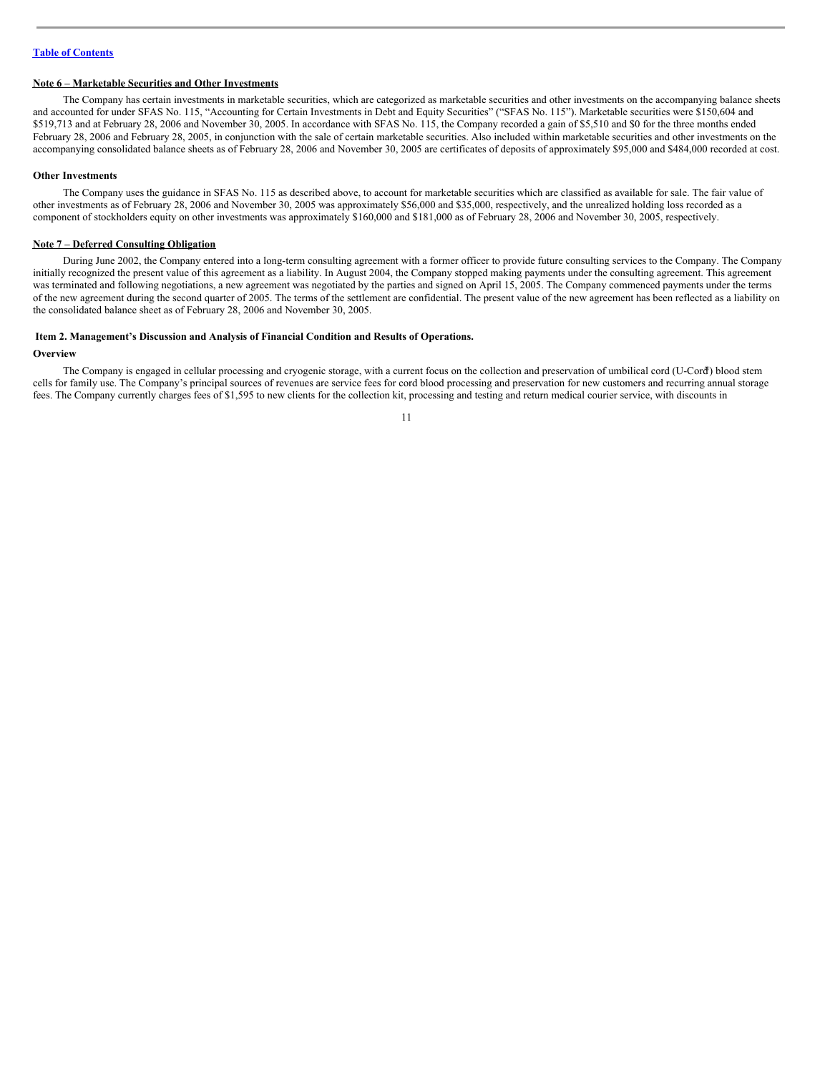## **Note 6 – Marketable Securities and Other Investments**

The Company has certain investments in marketable securities, which are categorized as marketable securities and other investments on the accompanying balance sheets and accounted for under SFAS No. 115, "Accounting for Certain Investments in Debt and Equity Securities" ("SFAS No. 115"). Marketable securities were \$150,604 and \$519,713 and at February 28, 2006 and November 30, 2005. In accordance with SFAS No. 115, the Company recorded a gain of \$5,510 and \$0 for the three months ended February 28, 2006 and February 28, 2005, in conjunction with the sale of certain marketable securities. Also included within marketable securities and other investments on the accompanying consolidated balance sheets as of February 28, 2006 and November 30, 2005 are certificates of deposits of approximately \$95,000 and \$484,000 recorded at cost.

#### **Other Investments**

The Company uses the guidance in SFAS No. 115 as described above, to account for marketable securities which are classified as available for sale. The fair value of other investments as of February 28, 2006 and November 30, 2005 was approximately \$56,000 and \$35,000, respectively, and the unrealized holding loss recorded as a component of stockholders equity on other investments was approximately \$160,000 and \$181,000 as of February 28, 2006 and November 30, 2005, respectively.

#### **Note 7 – Deferred Consulting Obligation**

During June 2002, the Company entered into a long-term consulting agreement with a former officer to provide future consulting services to the Company. The Company initially recognized the present value of this agreement as a liability. In August 2004, the Company stopped making payments under the consulting agreement. This agreement was terminated and following negotiations, a new agreement was negotiated by the parties and signed on April 15, 2005. The Company commenced payments under the terms of the new agreement during the second quarter of 2005. The terms of the settlement are confidential. The present value of the new agreement has been reflected as a liability on the consolidated balance sheet as of February 28, 2006 and November 30, 2005.

## <span id="page-10-0"></span>**Item 2. Management's Discussion and Analysis of Financial Condition and Results of Operations.**

## **Overview**

The Company is engaged in cellular processing and cryogenic storage, with a current focus on the collection and preservation of umbilical cord (U-Cord ®) blood stem cells for family use. The Company's principal sources of revenues are service fees for cord blood processing and preservation for new customers and recurring annual storage fees. The Company currently charges fees of \$1,595 to new clients for the collection kit, processing and testing and return medical courier service, with discounts in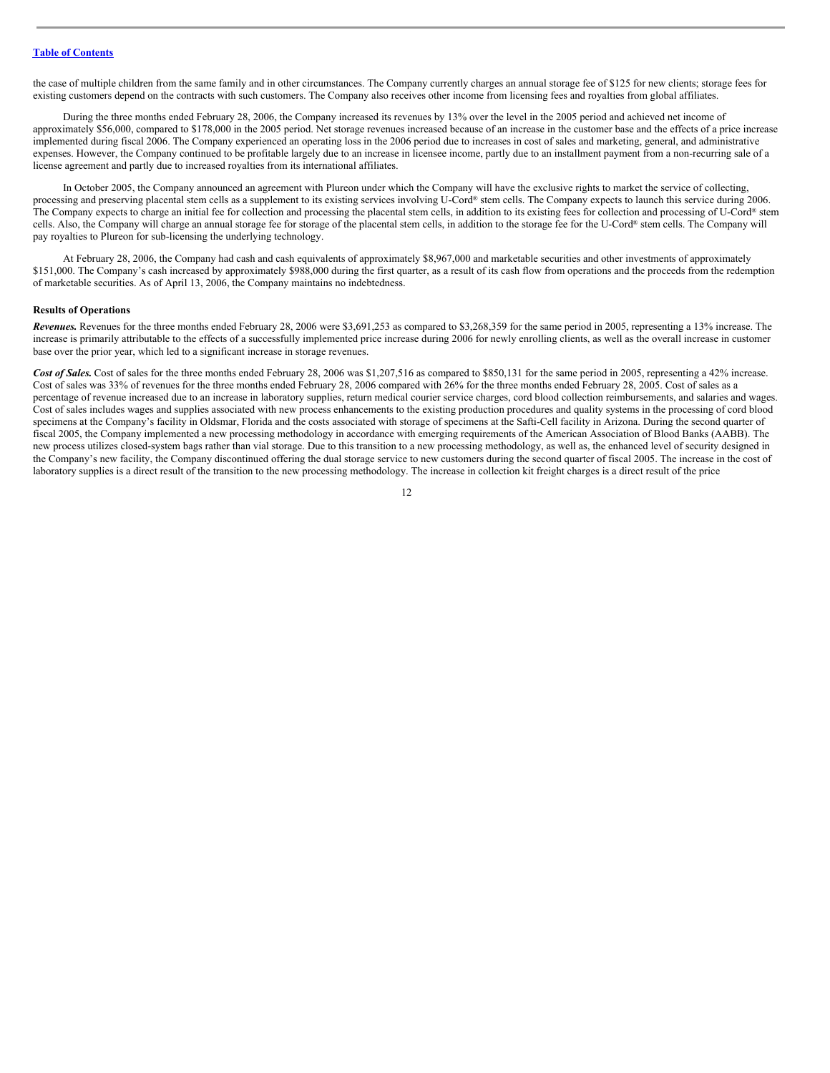the case of multiple children from the same family and in other circumstances. The Company currently charges an annual storage fee of \$125 for new clients; storage fees for existing customers depend on the contracts with such customers. The Company also receives other income from licensing fees and royalties from global affiliates.

During the three months ended February 28, 2006, the Company increased its revenues by 13% over the level in the 2005 period and achieved net income of approximately \$56,000, compared to \$178,000 in the 2005 period. Net storage revenues increased because of an increase in the customer base and the effects of a price increase implemented during fiscal 2006. The Company experienced an operating loss in the 2006 period due to increases in cost of sales and marketing, general, and administrative expenses. However, the Company continued to be profitable largely due to an increase in licensee income, partly due to an installment payment from a non-recurring sale of a license agreement and partly due to increased royalties from its international affiliates.

In October 2005, the Company announced an agreement with Plureon under which the Company will have the exclusive rights to market the service of collecting, processing and preserving placental stem cells as a supplement to its existing services involving U-Cord® stem cells. The Company expects to launch this service during 2006. The Company expects to charge an initial fee for collection and processing the placental stem cells, in addition to its existing fees for collection and processing of U-Cord® stem cells. Also, the Company will charge an annual storage fee for storage of the placental stem cells, in addition to the storage fee for the U-Cord® stem cells. The Company will pay royalties to Plureon for sub-licensing the underlying technology.

At February 28, 2006, the Company had cash and cash equivalents of approximately \$8,967,000 and marketable securities and other investments of approximately \$151,000. The Company's cash increased by approximately \$988,000 during the first quarter, as a result of its cash flow from operations and the proceeds from the redemption of marketable securities. As of April 13, 2006, the Company maintains no indebtedness.

#### **Results of Operations**

*Revenues.* Revenues for the three months ended February 28, 2006 were \$3,691,253 as compared to \$3,268,359 for the same period in 2005, representing a 13% increase. The increase is primarily attributable to the effects of a successfully implemented price increase during 2006 for newly enrolling clients, as well as the overall increase in customer base over the prior year, which led to a significant increase in storage revenues.

Cost of Sales. Cost of sales for the three months ended February 28, 2006 was \$1,207,516 as compared to \$850,131 for the same period in 2005, representing a 42% increase. Cost of sales was 33% of revenues for the three months ended February 28, 2006 compared with 26% for the three months ended February 28, 2005. Cost of sales as a percentage of revenue increased due to an increase in laboratory supplies, return medical courier service charges, cord blood collection reimbursements, and salaries and wages. Cost of sales includes wages and supplies associated with new process enhancements to the existing production procedures and quality systems in the processing of cord blood specimens at the Company's facility in Oldsmar, Florida and the costs associated with storage of specimens at the Safti-Cell facility in Arizona. During the second quarter of fiscal 2005, the Company implemented a new processing methodology in accordance with emerging requirements of the American Association of Blood Banks (AABB). The new process utilizes closed-system bags rather than vial storage. Due to this transition to a new processing methodology, as well as, the enhanced level of security designed in the Company's new facility, the Company discontinued offering the dual storage service to new customers during the second quarter of fiscal 2005. The increase in the cost of laboratory supplies is a direct result of the transition to the new processing methodology. The increase in collection kit freight charges is a direct result of the price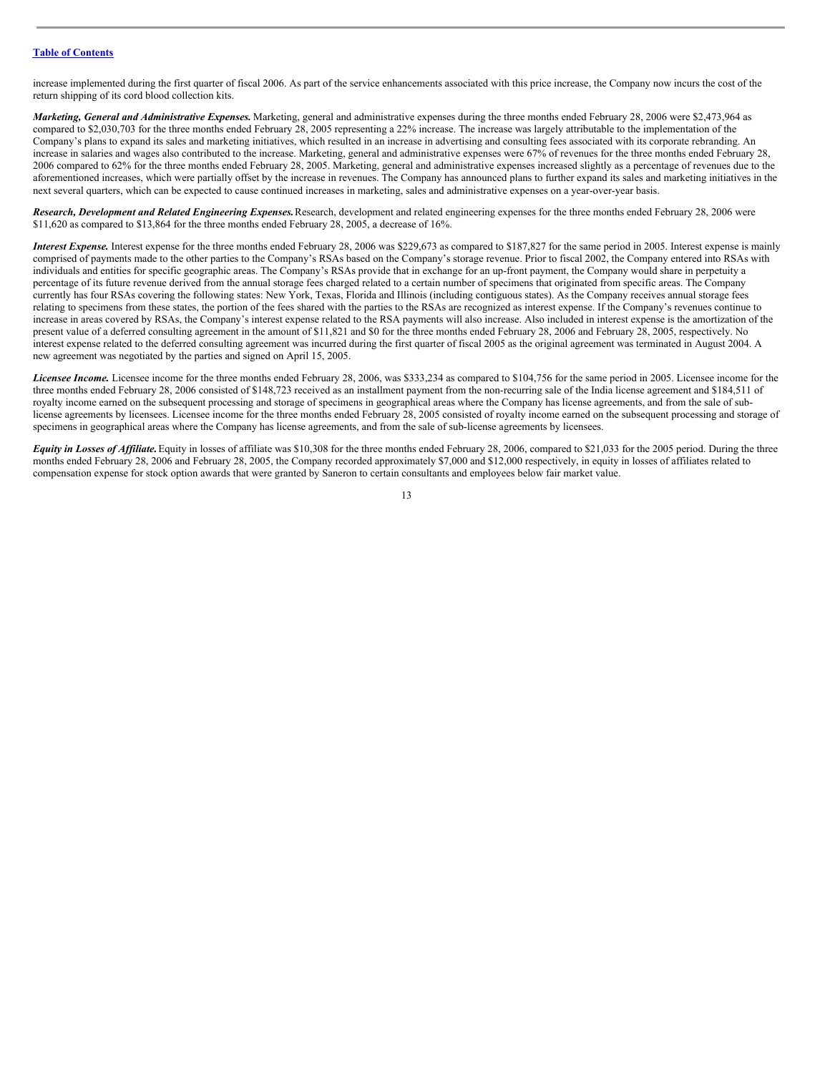increase implemented during the first quarter of fiscal 2006. As part of the service enhancements associated with this price increase, the Company now incurs the cost of the return shipping of its cord blood collection kits.

*Marketing, General and Administrative Expenses.* Marketing, general and administrative expenses during the three months ended February 28, 2006 were \$2,473,964 as compared to \$2,030,703 for the three months ended February 28, 2005 representing a 22% increase. The increase was largely attributable to the implementation of the Company's plans to expand its sales and marketing initiatives, which resulted in an increase in advertising and consulting fees associated with its corporate rebranding. An increase in salaries and wages also contributed to the increase. Marketing, general and administrative expenses were 67% of revenues for the three months ended February 28, 2006 compared to 62% for the three months ended February 28, 2005. Marketing, general and administrative expenses increased slightly as a percentage of revenues due to the aforementioned increases, which were partially offset by the increase in revenues. The Company has announced plans to further expand its sales and marketing initiatives in the next several quarters, which can be expected to cause continued increases in marketing, sales and administrative expenses on a year-over-year basis.

*Research, Development and Related Engineering Expenses.*Research, development and related engineering expenses for the three months ended February 28, 2006 were \$11,620 as compared to \$13,864 for the three months ended February 28, 2005, a decrease of 16%.

*Interest Expense.* Interest expense for the three months ended February 28, 2006 was \$229,673 as compared to \$187,827 for the same period in 2005. Interest expense is mainly comprised of payments made to the other parties to the Company's RSAs based on the Company's storage revenue. Prior to fiscal 2002, the Company entered into RSAs with individuals and entities for specific geographic areas. The Company's RSAs provide that in exchange for an up-front payment, the Company would share in perpetuity a percentage of its future revenue derived from the annual storage fees charged related to a certain number of specimens that originated from specific areas. The Company currently has four RSAs covering the following states: New York, Texas, Florida and Illinois (including contiguous states). As the Company receives annual storage fees relating to specimens from these states, the portion of the fees shared with the parties to the RSAs are recognized as interest expense. If the Company's revenues continue to increase in areas covered by RSAs, the Company's interest expense related to the RSA payments will also increase. Also included in interest expense is the amortization of the present value of a deferred consulting agreement in the amount of \$11,821 and \$0 for the three months ended February 28, 2006 and February 28, 2005, respectively. No interest expense related to the deferred consulting agreement was incurred during the first quarter of fiscal 2005 as the original agreement was terminated in August 2004. A new agreement was negotiated by the parties and signed on April 15, 2005.

*Licensee Income.* Licensee income for the three months ended February 28, 2006, was \$333,234 as compared to \$104,756 for the same period in 2005. Licensee income for the three months ended February 28, 2006 consisted of \$148,723 received as an installment payment from the non-recurring sale of the India license agreement and \$184,511 of royalty income earned on the subsequent processing and storage of specimens in geographical areas where the Company has license agreements, and from the sale of sublicense agreements by licensees. Licensee income for the three months ended February 28, 2005 consisted of royalty income earned on the subsequent processing and storage of specimens in geographical areas where the Company has license agreements, and from the sale of sub-license agreements by licensees.

Equity in Losses of Affiliate. Equity in losses of affiliate was \$10,308 for the three months ended February 28, 2006, compared to \$21,033 for the 2005 period. During the three months ended February 28, 2006 and February 28, 2005, the Company recorded approximately \$7,000 and \$12,000 respectively, in equity in losses of affiliates related to compensation expense for stock option awards that were granted by Saneron to certain consultants and employees below fair market value.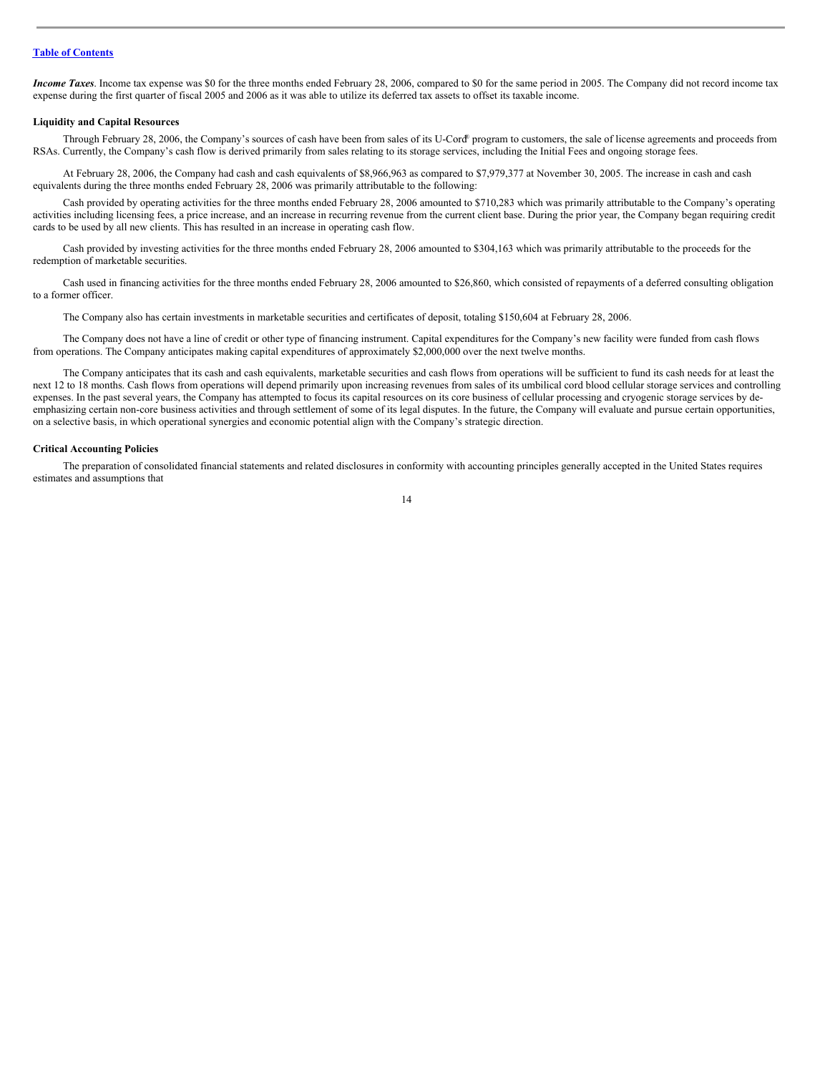*Income Taxes*. Income tax expense was \$0 for the three months ended February 28, 2006, compared to \$0 for the same period in 2005. The Company did not record income tax expense during the first quarter of fiscal 2005 and 2006 as it was able to utilize its deferred tax assets to offset its taxable income.

#### **Liquidity and Capital Resources**

Through February 28, 2006, the Company's sources of cash have been from sales of its U-Cord ® program to customers, the sale of license agreements and proceeds from RSAs. Currently, the Company's cash flow is derived primarily from sales relating to its storage services, including the Initial Fees and ongoing storage fees.

At February 28, 2006, the Company had cash and cash equivalents of \$8,966,963 as compared to \$7,979,377 at November 30, 2005. The increase in cash and cash equivalents during the three months ended February 28, 2006 was primarily attributable to the following:

Cash provided by operating activities for the three months ended February 28, 2006 amounted to \$710,283 which was primarily attributable to the Company's operating activities including licensing fees, a price increase, and an increase in recurring revenue from the current client base. During the prior year, the Company began requiring credit cards to be used by all new clients. This has resulted in an increase in operating cash flow.

Cash provided by investing activities for the three months ended February 28, 2006 amounted to \$304,163 which was primarily attributable to the proceeds for the redemption of marketable securities.

Cash used in financing activities for the three months ended February 28, 2006 amounted to \$26,860, which consisted of repayments of a deferred consulting obligation to a former officer.

The Company also has certain investments in marketable securities and certificates of deposit, totaling \$150,604 at February 28, 2006.

The Company does not have a line of credit or other type of financing instrument. Capital expenditures for the Company's new facility were funded from cash flows from operations. The Company anticipates making capital expenditures of approximately \$2,000,000 over the next twelve months.

The Company anticipates that its cash and cash equivalents, marketable securities and cash flows from operations will be sufficient to fund its cash needs for at least the next 12 to 18 months. Cash flows from operations will depend primarily upon increasing revenues from sales of its umbilical cord blood cellular storage services and controlling expenses. In the past several years, the Company has attempted to focus its capital resources on its core business of cellular processing and cryogenic storage services by deemphasizing certain non-core business activities and through settlement of some of its legal disputes. In the future, the Company will evaluate and pursue certain opportunities, on a selective basis, in which operational synergies and economic potential align with the Company's strategic direction.

#### **Critical Accounting Policies**

The preparation of consolidated financial statements and related disclosures in conformity with accounting principles generally accepted in the United States requires estimates and assumptions that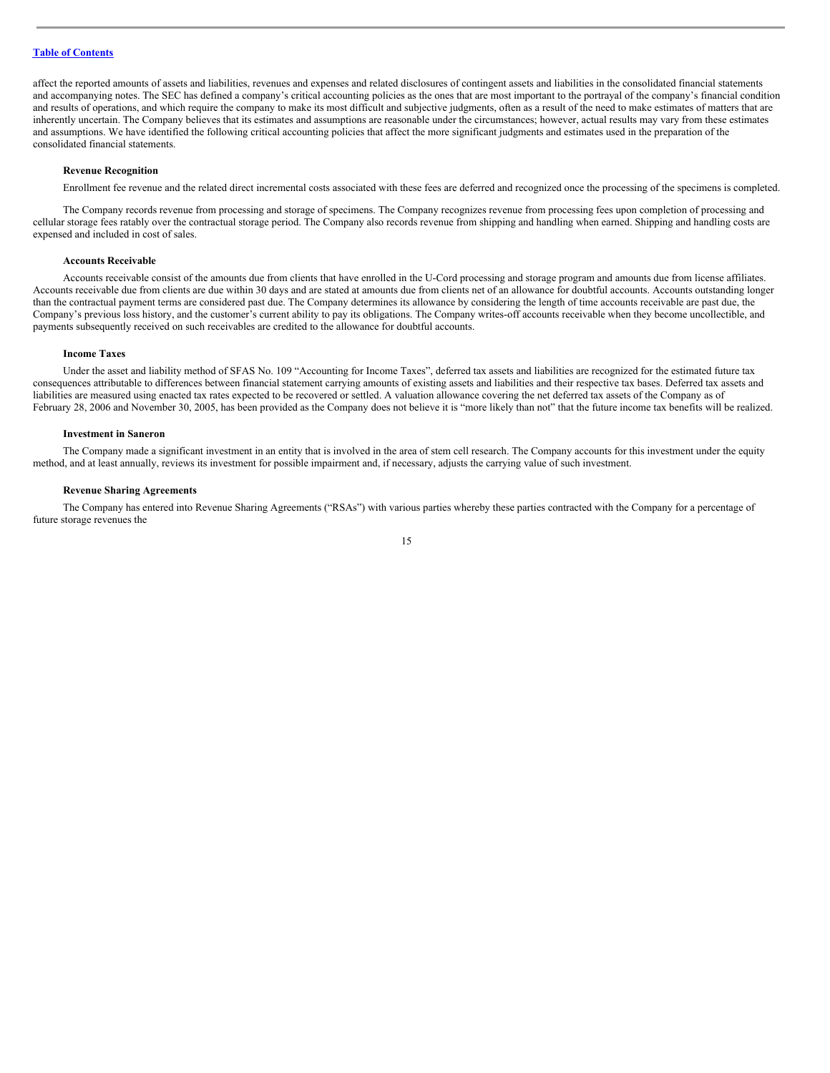affect the reported amounts of assets and liabilities, revenues and expenses and related disclosures of contingent assets and liabilities in the consolidated financial statements and accompanying notes. The SEC has defined a company's critical accounting policies as the ones that are most important to the portrayal of the company's financial condition and results of operations, and which require the company to make its most difficult and subjective judgments, often as a result of the need to make estimates of matters that are inherently uncertain. The Company believes that its estimates and assumptions are reasonable under the circumstances; however, actual results may vary from these estimates and assumptions. We have identified the following critical accounting policies that affect the more significant judgments and estimates used in the preparation of the consolidated financial statements.

## **Revenue Recognition**

Enrollment fee revenue and the related direct incremental costs associated with these fees are deferred and recognized once the processing of the specimens is completed.

The Company records revenue from processing and storage of specimens. The Company recognizes revenue from processing fees upon completion of processing and cellular storage fees ratably over the contractual storage period. The Company also records revenue from shipping and handling when earned. Shipping and handling costs are expensed and included in cost of sales.

## **Accounts Receivable**

Accounts receivable consist of the amounts due from clients that have enrolled in the U-Cord processing and storage program and amounts due from license affiliates. Accounts receivable due from clients are due within 30 days and are stated at amounts due from clients net of an allowance for doubtful accounts. Accounts outstanding longer than the contractual payment terms are considered past due. The Company determines its allowance by considering the length of time accounts receivable are past due, the Company's previous loss history, and the customer's current ability to pay its obligations. The Company writes-off accounts receivable when they become uncollectible, and payments subsequently received on such receivables are credited to the allowance for doubtful accounts.

## **Income Taxes**

Under the asset and liability method of SFAS No. 109 "Accounting for Income Taxes", deferred tax assets and liabilities are recognized for the estimated future tax consequences attributable to differences between financial statement carrying amounts of existing assets and liabilities and their respective tax bases. Deferred tax assets and liabilities are measured using enacted tax rates expected to be recovered or settled. A valuation allowance covering the net deferred tax assets of the Company as of February 28, 2006 and November 30, 2005, has been provided as the Company does not believe it is "more likely than not" that the future income tax benefits will be realized.

#### **Investment in Saneron**

The Company made a significant investment in an entity that is involved in the area of stem cell research. The Company accounts for this investment under the equity method, and at least annually, reviews its investment for possible impairment and, if necessary, adjusts the carrying value of such investment.

#### **Revenue Sharing Agreements**

The Company has entered into Revenue Sharing Agreements ("RSAs") with various parties whereby these parties contracted with the Company for a percentage of future storage revenues the

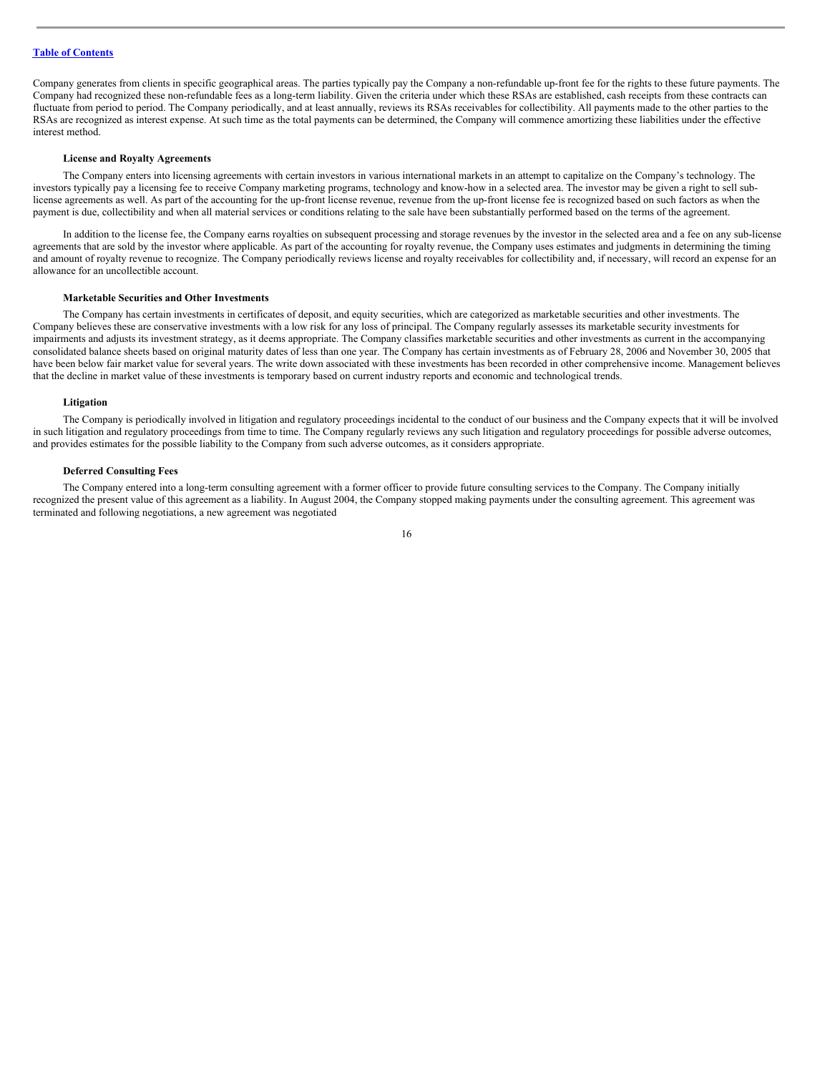Company generates from clients in specific geographical areas. The parties typically pay the Company a non-refundable up-front fee for the rights to these future payments. The Company had recognized these non-refundable fees as a long-term liability. Given the criteria under which these RSAs are established, cash receipts from these contracts can fluctuate from period to period. The Company periodically, and at least annually, reviews its RSAs receivables for collectibility. All payments made to the other parties to the RSAs are recognized as interest expense. At such time as the total payments can be determined, the Company will commence amortizing these liabilities under the effective interest method.

#### **License and Royalty Agreements**

The Company enters into licensing agreements with certain investors in various international markets in an attempt to capitalize on the Company's technology. The investors typically pay a licensing fee to receive Company marketing programs, technology and know-how in a selected area. The investor may be given a right to sell sublicense agreements as well. As part of the accounting for the up-front license revenue, revenue from the up-front license fee is recognized based on such factors as when the payment is due, collectibility and when all material services or conditions relating to the sale have been substantially performed based on the terms of the agreement.

In addition to the license fee, the Company earns royalties on subsequent processing and storage revenues by the investor in the selected area and a fee on any sub-license agreements that are sold by the investor where applicable. As part of the accounting for royalty revenue, the Company uses estimates and judgments in determining the timing and amount of royalty revenue to recognize. The Company periodically reviews license and royalty receivables for collectibility and, if necessary, will record an expense for an allowance for an uncollectible account.

## **Marketable Securities and Other Investments**

The Company has certain investments in certificates of deposit, and equity securities, which are categorized as marketable securities and other investments. The Company believes these are conservative investments with a low risk for any loss of principal. The Company regularly assesses its marketable security investments for impairments and adjusts its investment strategy, as it deems appropriate. The Company classifies marketable securities and other investments as current in the accompanying consolidated balance sheets based on original maturity dates of less than one year. The Company has certain investments as of February 28, 2006 and November 30, 2005 that have been below fair market value for several years. The write down associated with these investments has been recorded in other comprehensive income. Management believes that the decline in market value of these investments is temporary based on current industry reports and economic and technological trends.

#### **Litigation**

The Company is periodically involved in litigation and regulatory proceedings incidental to the conduct of our business and the Company expects that it will be involved in such litigation and regulatory proceedings from time to time. The Company regularly reviews any such litigation and regulatory proceedings for possible adverse outcomes, and provides estimates for the possible liability to the Company from such adverse outcomes, as it considers appropriate.

#### **Deferred Consulting Fees**

The Company entered into a long-term consulting agreement with a former officer to provide future consulting services to the Company. The Company initially recognized the present value of this agreement as a liability. In August 2004, the Company stopped making payments under the consulting agreement. This agreement was terminated and following negotiations, a new agreement was negotiated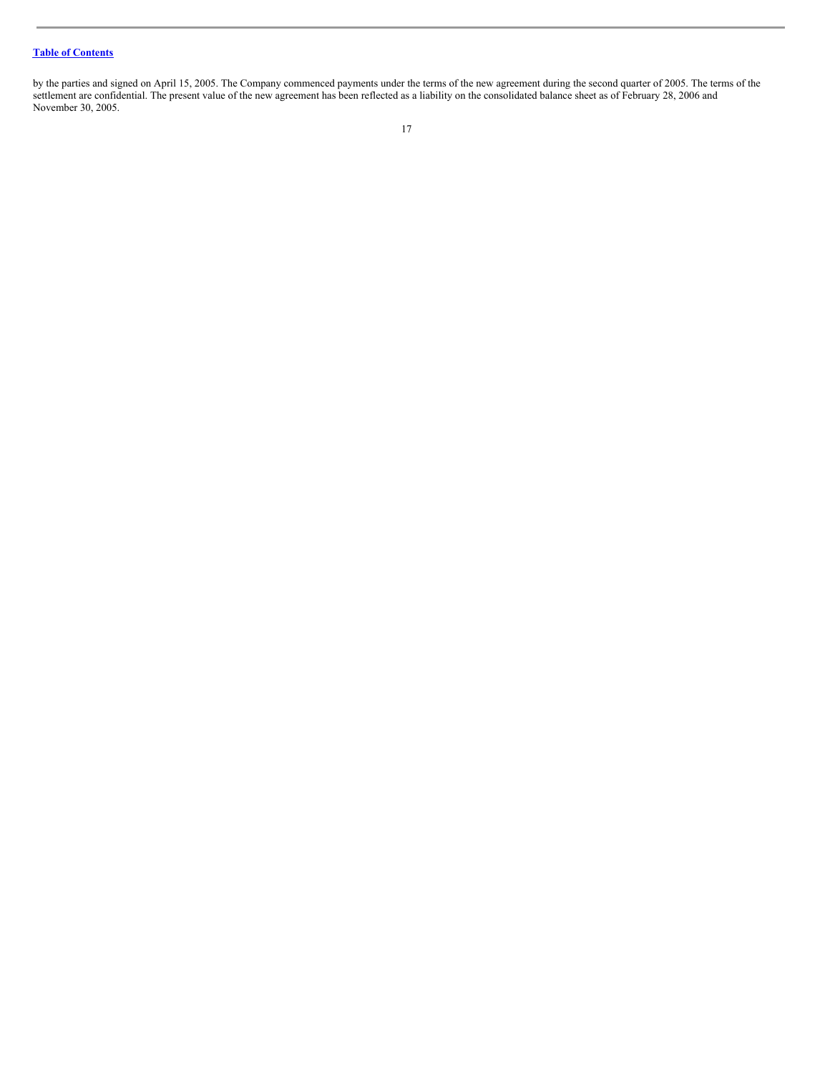by the parties and signed on April 15, 2005. The Company commenced payments under the terms of the new agreement during the second quarter of 2005. The terms of the settlement are confidential. The present value of the new agreement has been reflected as a liability on the consolidated balance sheet as of February 28, 2006 and November 30, 2005.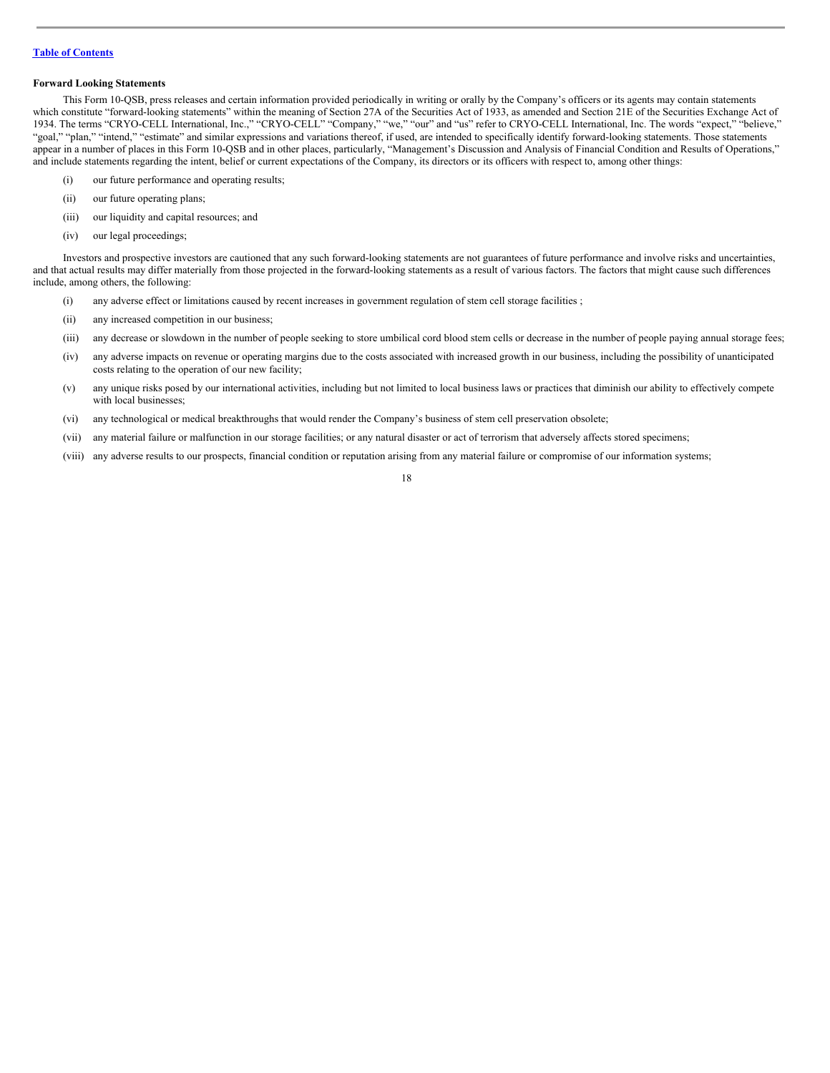## **Forward Looking Statements**

This Form 10-QSB, press releases and certain information provided periodically in writing or orally by the Company's officers or its agents may contain statements which constitute "forward-looking statements" within the meaning of Section 27A of the Securities Act of 1933, as amended and Section 21E of the Securities Exchange Act of 1934. The terms "CRYO-CELL International, Inc.," "CRYO-CELL" "Company," "we," "our" and "us" refer to CRYO-CELL International, Inc. The words "expect," "believe," "goal," "plan," "intend," "estimate" and similar expressions and variations thereof, if used, are intended to specifically identify forward-looking statements. Those statements appear in a number of places in this Form 10-QSB and in other places, particularly, "Management's Discussion and Analysis of Financial Condition and Results of Operations," and include statements regarding the intent, belief or current expectations of the Company, its directors or its officers with respect to, among other things:

- (i) our future performance and operating results;
- (ii) our future operating plans;
- (iii) our liquidity and capital resources; and
- (iv) our legal proceedings;

Investors and prospective investors are cautioned that any such forward-looking statements are not guarantees of future performance and involve risks and uncertainties, and that actual results may differ materially from those projected in the forward-looking statements as a result of various factors. The factors that might cause such differences include, among others, the following:

- (i) any adverse effect or limitations caused by recent increases in government regulation of stem cell storage facilities ;
- (ii) any increased competition in our business;
- (iii) any decrease or slowdown in the number of people seeking to store umbilical cord blood stem cells or decrease in the number of people paying annual storage fees;
- (iv) any adverse impacts on revenue or operating margins due to the costs associated with increased growth in our business, including the possibility of unanticipated costs relating to the operation of our new facility;
- (v) any unique risks posed by our international activities, including but not limited to local business laws or practices that diminish our ability to effectively compete with local businesses;
- (vi) any technological or medical breakthroughs that would render the Company's business of stem cell preservation obsolete;
- (vii) any material failure or malfunction in our storage facilities; or any natural disaster or act of terrorism that adversely affects stored specimens;
- (viii) any adverse results to our prospects, financial condition or reputation arising from any material failure or compromise of our information systems;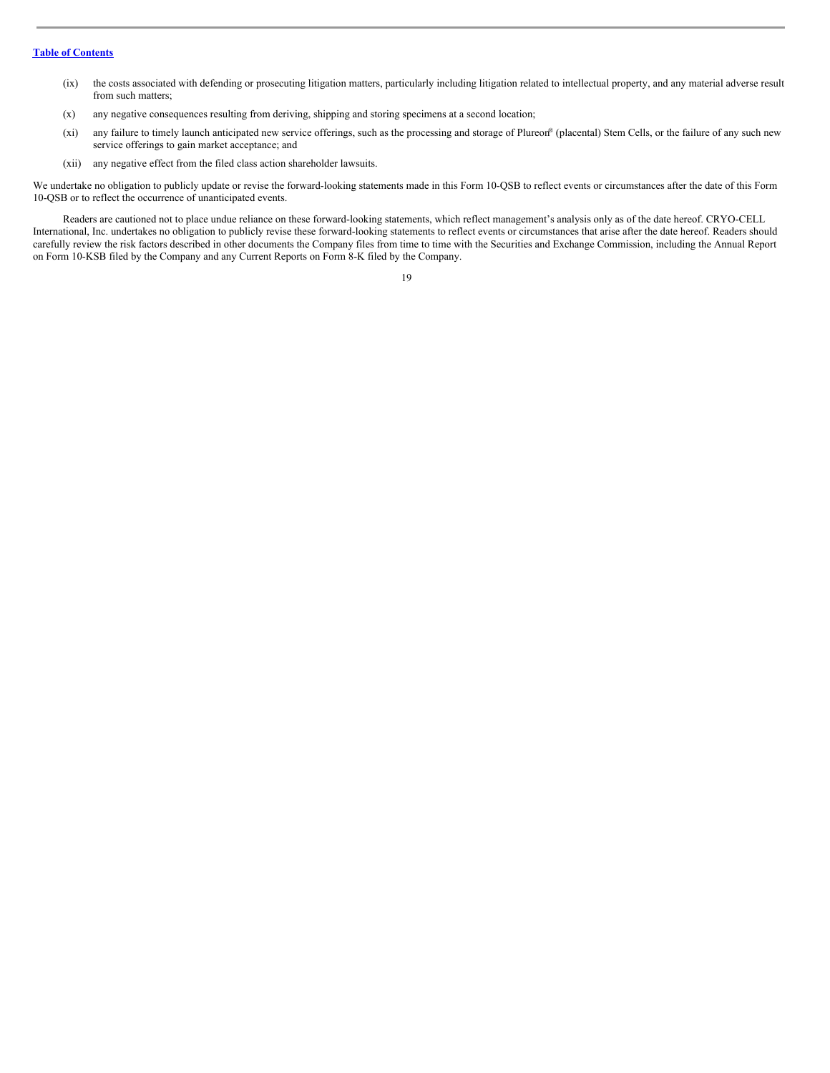- (ix) the costs associated with defending or prosecuting litigation matters, particularly including litigation related to intellectual property, and any material adverse result from such matters;
- (x) any negative consequences resulting from deriving, shipping and storing specimens at a second location;
- (xi) any failure to timely launch anticipated new service offerings, such as the processing and storage of Plureon ® (placental) Stem Cells, or the failure of any such new service offerings to gain market acceptance; and
- (xii) any negative effect from the filed class action shareholder lawsuits.

We undertake no obligation to publicly update or revise the forward-looking statements made in this Form 10-QSB to reflect events or circumstances after the date of this Form 10-QSB or to reflect the occurrence of unanticipated events.

Readers are cautioned not to place undue reliance on these forward-looking statements, which reflect management's analysis only as of the date hereof. CRYO-CELL International, Inc. undertakes no obligation to publicly revise these forward-looking statements to reflect events or circumstances that arise after the date hereof. Readers should carefully review the risk factors described in other documents the Company files from time to time with the Securities and Exchange Commission, including the Annual Report on Form 10-KSB filed by the Company and any Current Reports on Form 8-K filed by the Company.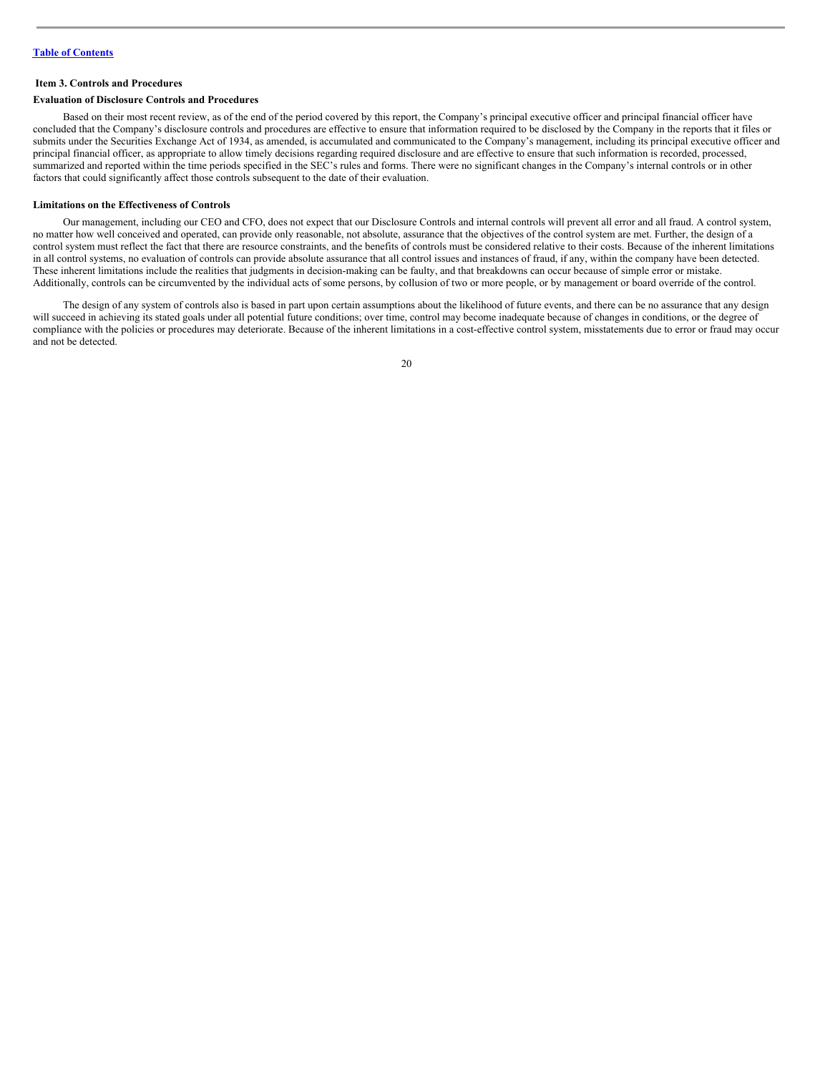#### <span id="page-19-0"></span>**Item 3. Controls and Procedures**

#### **Evaluation of Disclosure Controls and Procedures**

Based on their most recent review, as of the end of the period covered by this report, the Company's principal executive officer and principal financial officer have concluded that the Company's disclosure controls and procedures are effective to ensure that information required to be disclosed by the Company in the reports that it files or submits under the Securities Exchange Act of 1934, as amended, is accumulated and communicated to the Company's management, including its principal executive officer and principal financial officer, as appropriate to allow timely decisions regarding required disclosure and are effective to ensure that such information is recorded, processed, summarized and reported within the time periods specified in the SEC's rules and forms. There were no significant changes in the Company's internal controls or in other factors that could significantly affect those controls subsequent to the date of their evaluation.

#### **Limitations on the Effectiveness of Controls**

Our management, including our CEO and CFO, does not expect that our Disclosure Controls and internal controls will prevent all error and all fraud. A control system, no matter how well conceived and operated, can provide only reasonable, not absolute, assurance that the objectives of the control system are met. Further, the design of a control system must reflect the fact that there are resource constraints, and the benefits of controls must be considered relative to their costs. Because of the inherent limitations in all control systems, no evaluation of controls can provide absolute assurance that all control issues and instances of fraud, if any, within the company have been detected. These inherent limitations include the realities that judgments in decision-making can be faulty, and that breakdowns can occur because of simple error or mistake. Additionally, controls can be circumvented by the individual acts of some persons, by collusion of two or more people, or by management or board override of the control.

The design of any system of controls also is based in part upon certain assumptions about the likelihood of future events, and there can be no assurance that any design will succeed in achieving its stated goals under all potential future conditions; over time, control may become inadequate because of changes in conditions, or the degree of compliance with the policies or procedures may deteriorate. Because of the inherent limitations in a cost-effective control system, misstatements due to error or fraud may occur and not be detected.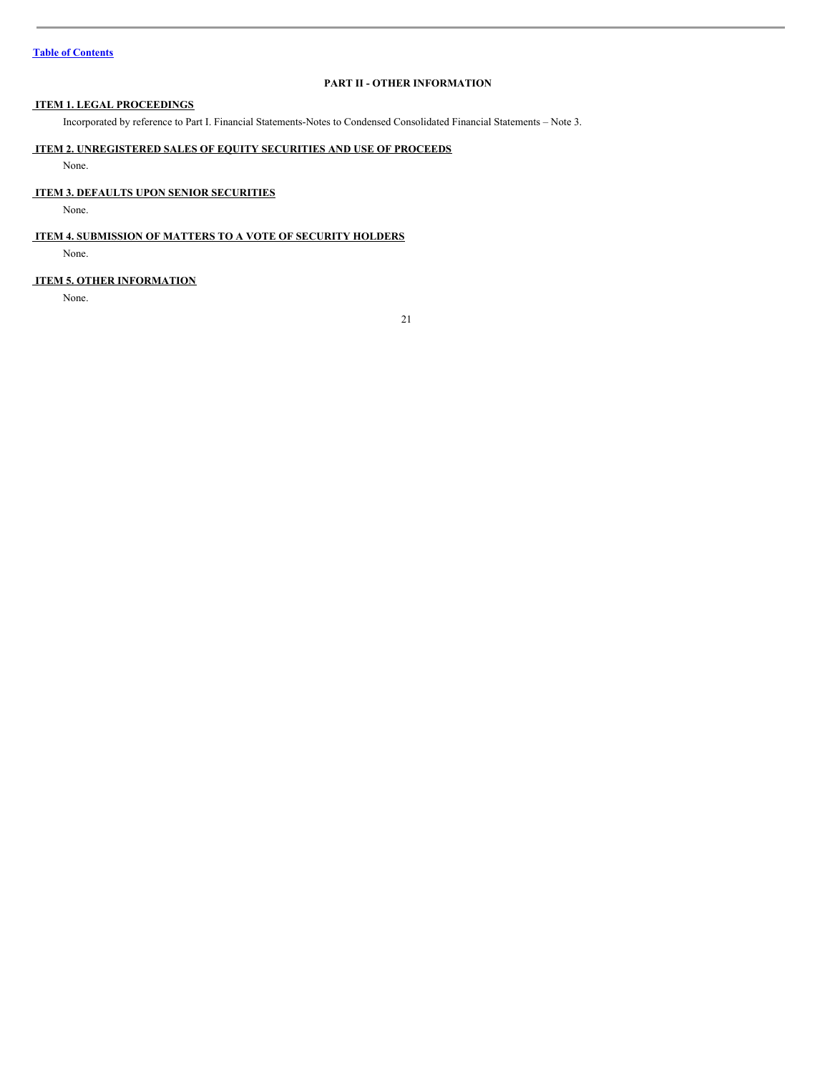# <span id="page-20-0"></span>**PART II - OTHER INFORMATION**

# <span id="page-20-1"></span>**ITEM 1. LEGAL PROCEEDINGS**

Incorporated by reference to Part I. Financial Statements-Notes to Condensed Consolidated Financial Statements – Note 3.

# <span id="page-20-2"></span>**ITEM 2. UNREGISTERED SALES OF EQUITY SECURITIES AND USE OF PROCEEDS**

None.

## <span id="page-20-3"></span>**ITEM 3. DEFAULTS UPON SENIOR SECURITIES**

None.

## <span id="page-20-4"></span>**ITEM 4. SUBMISSION OF MATTERS TO A VOTE OF SECURITY HOLDERS**

None.

## <span id="page-20-5"></span>**ITEM 5. OTHER INFORMATION**

None.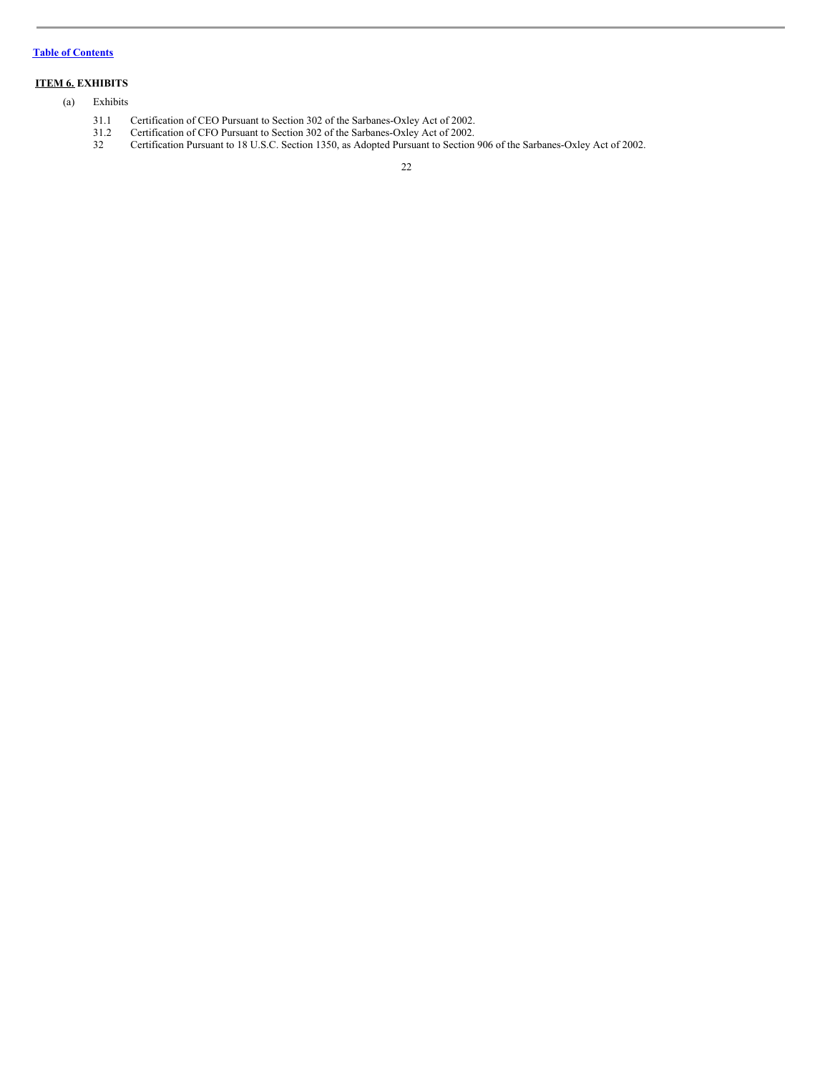# <span id="page-21-0"></span>**ITEM 6. EXHIBITS**

## (a) Exhibits

- 31.1 Certification of CEO Pursuant to Section 302 of the Sarbanes-Oxley Act of 2002.
- 31.2 Certification of CFO Pursuant to Section 302 of the Sarbanes-Oxley Act of 2002.
- 32 Certification Pursuant to 18 U.S.C. Section 1350, as Adopted Pursuant to Section 906 of the Sarbanes-Oxley Act of 2002.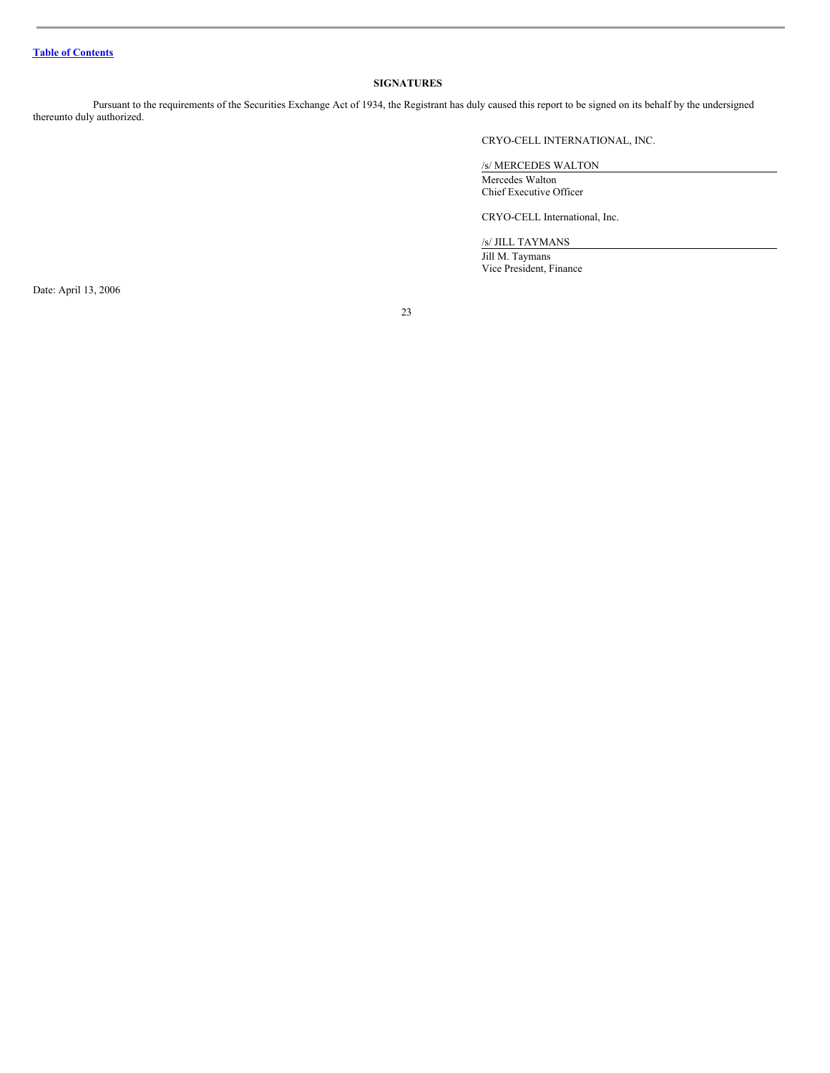## <span id="page-22-0"></span>**SIGNATURES**

Pursuant to the requirements of the Securities Exchange Act of 1934, the Registrant has duly caused this report to be signed on its behalf by the undersigned thereunto duly authorized.

CRYO-CELL INTERNATIONAL, INC.

/s/ MERCEDES WALTON

Mercedes Walton Chief Executive Officer

CRYO-CELL International, Inc.

/s/ JILL TAYMANS

Jill M. Taymans Vice President, Finance

Date: April 13, 2006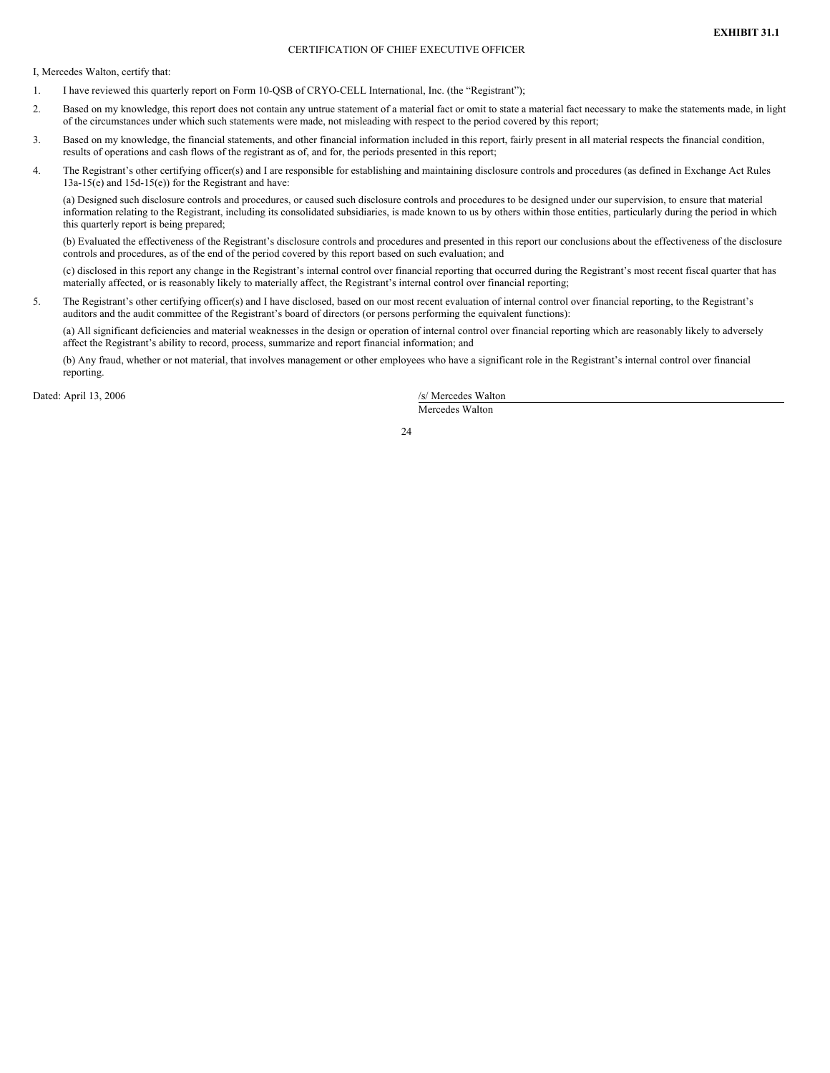I, Mercedes Walton, certify that:

- 1. I have reviewed this quarterly report on Form 10-QSB of CRYO-CELL International, Inc. (the "Registrant");
- 2. Based on my knowledge, this report does not contain any untrue statement of a material fact or omit to state a material fact necessary to make the statements made, in light of the circumstances under which such statements were made, not misleading with respect to the period covered by this report;
- 3. Based on my knowledge, the financial statements, and other financial information included in this report, fairly present in all material respects the financial condition, results of operations and cash flows of the registrant as of, and for, the periods presented in this report;
- 4. The Registrant's other certifying officer(s) and I are responsible for establishing and maintaining disclosure controls and procedures (as defined in Exchange Act Rules 13a-15(e) and 15d-15(e)) for the Registrant and have:

(a) Designed such disclosure controls and procedures, or caused such disclosure controls and procedures to be designed under our supervision, to ensure that material information relating to the Registrant, including its consolidated subsidiaries, is made known to us by others within those entities, particularly during the period in which this quarterly report is being prepared;

(b) Evaluated the effectiveness of the Registrant's disclosure controls and procedures and presented in this report our conclusions about the effectiveness of the disclosure controls and procedures, as of the end of the period covered by this report based on such evaluation; and

(c) disclosed in this report any change in the Registrant's internal control over financial reporting that occurred during the Registrant's most recent fiscal quarter that has materially affected, or is reasonably likely to materially affect, the Registrant's internal control over financial reporting;

5. The Registrant's other certifying officer(s) and I have disclosed, based on our most recent evaluation of internal control over financial reporting, to the Registrant's auditors and the audit committee of the Registrant's board of directors (or persons performing the equivalent functions):

(a) All significant deficiencies and material weaknesses in the design or operation of internal control over financial reporting which are reasonably likely to adversely affect the Registrant's ability to record, process, summarize and report financial information; and

(b) Any fraud, whether or not material, that involves management or other employees who have a significant role in the Registrant's internal control over financial reporting.

Dated: April 13, 2006 /s/ Mercedes Walton

Mercedes Walton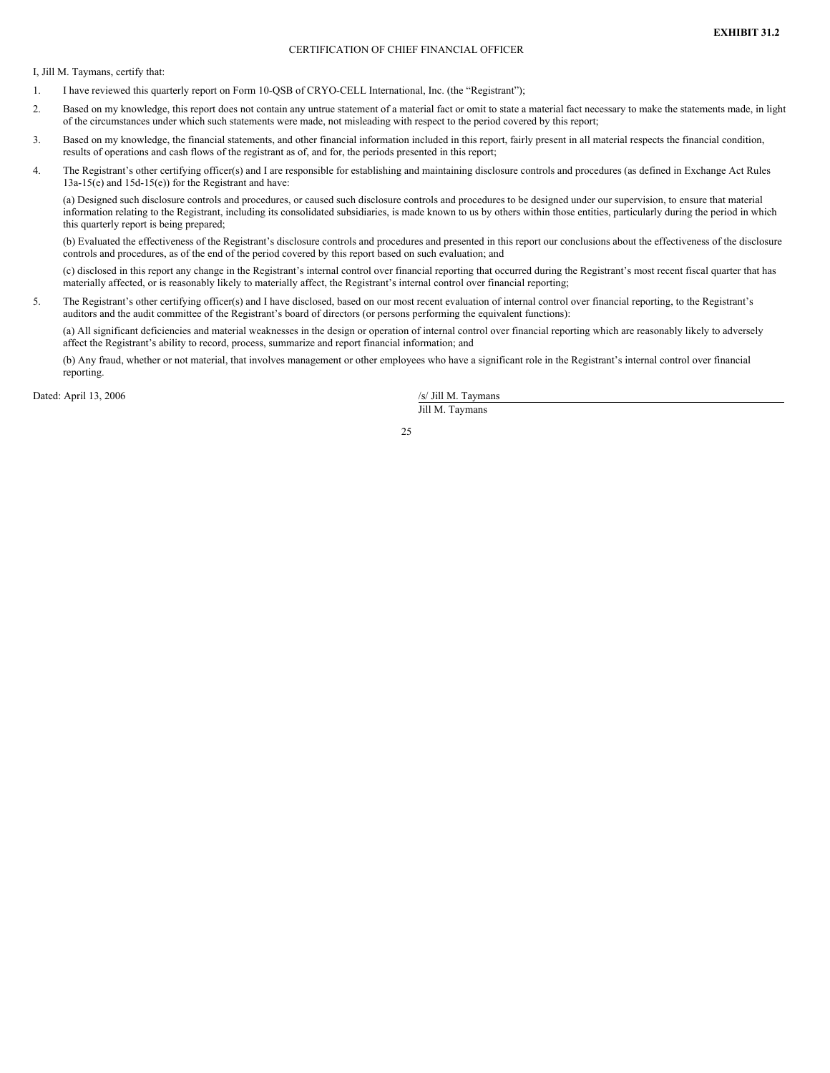I, Jill M. Taymans, certify that:

- 1. I have reviewed this quarterly report on Form 10-QSB of CRYO-CELL International, Inc. (the "Registrant");
- 2. Based on my knowledge, this report does not contain any untrue statement of a material fact or omit to state a material fact necessary to make the statements made, in light of the circumstances under which such statements were made, not misleading with respect to the period covered by this report;
- 3. Based on my knowledge, the financial statements, and other financial information included in this report, fairly present in all material respects the financial condition, results of operations and cash flows of the registrant as of, and for, the periods presented in this report;
- 4. The Registrant's other certifying officer(s) and I are responsible for establishing and maintaining disclosure controls and procedures (as defined in Exchange Act Rules 13a-15(e) and 15d-15(e)) for the Registrant and have:

(a) Designed such disclosure controls and procedures, or caused such disclosure controls and procedures to be designed under our supervision, to ensure that material information relating to the Registrant, including its consolidated subsidiaries, is made known to us by others within those entities, particularly during the period in which this quarterly report is being prepared;

(b) Evaluated the effectiveness of the Registrant's disclosure controls and procedures and presented in this report our conclusions about the effectiveness of the disclosure controls and procedures, as of the end of the period covered by this report based on such evaluation; and

(c) disclosed in this report any change in the Registrant's internal control over financial reporting that occurred during the Registrant's most recent fiscal quarter that has materially affected, or is reasonably likely to materially affect, the Registrant's internal control over financial reporting;

5. The Registrant's other certifying officer(s) and I have disclosed, based on our most recent evaluation of internal control over financial reporting, to the Registrant's auditors and the audit committee of the Registrant's board of directors (or persons performing the equivalent functions):

(a) All significant deficiencies and material weaknesses in the design or operation of internal control over financial reporting which are reasonably likely to adversely affect the Registrant's ability to record, process, summarize and report financial information; and

(b) Any fraud, whether or not material, that involves management or other employees who have a significant role in the Registrant's internal control over financial reporting.

Dated: April 13, 2006 /s/ Jill M. Taymans

Jill M. Taymans